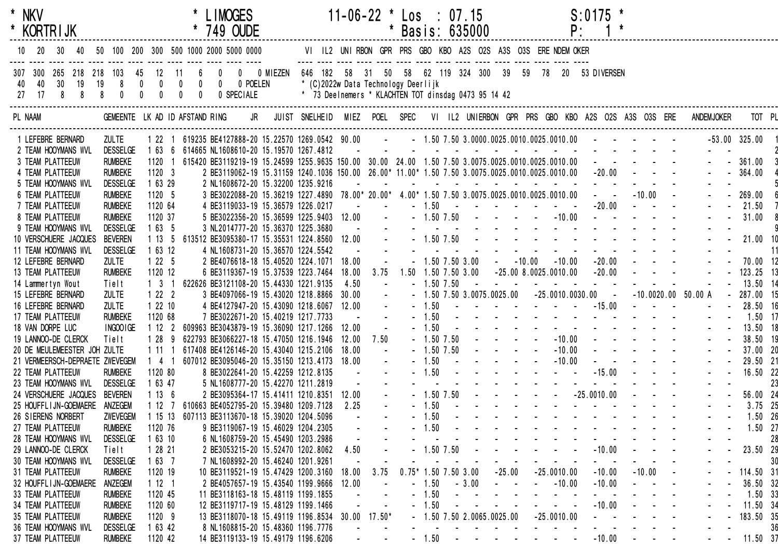| * NKV                    |                                 |              |                                   |         | <b>LIMOGES</b><br>$\begin{array}{r}\n \begin{array}{c}\n \text{} \\  \text{} \\  \text{0} \\  \end{array}\n \end{array}$                                                                                              |                                                                                             |       | $11-06-22$ * Los : 07.15                                                                                                                                                                                                                                                                                                                                                                                                                                  |                 |         |                |         |                          |               |          | $S: 0175$ *                                                                                                                                                                                                                    |          |                                             |                                                                                                                                                                                                                                                                          |
|--------------------------|---------------------------------|--------------|-----------------------------------|---------|-----------------------------------------------------------------------------------------------------------------------------------------------------------------------------------------------------------------------|---------------------------------------------------------------------------------------------|-------|-----------------------------------------------------------------------------------------------------------------------------------------------------------------------------------------------------------------------------------------------------------------------------------------------------------------------------------------------------------------------------------------------------------------------------------------------------------|-----------------|---------|----------------|---------|--------------------------|---------------|----------|--------------------------------------------------------------------------------------------------------------------------------------------------------------------------------------------------------------------------------|----------|---------------------------------------------|--------------------------------------------------------------------------------------------------------------------------------------------------------------------------------------------------------------------------------------------------------------------------|
| * KORTRIJK               |                                 |              |                                   |         |                                                                                                                                                                                                                       |                                                                                             |       |                                                                                                                                                                                                                                                                                                                                                                                                                                                           | * Basis: 635000 |         |                |         |                          |               | P:       |                                                                                                                                                                                                                                |          |                                             |                                                                                                                                                                                                                                                                          |
| 10 20 30                 |                                 |              |                                   |         | 40 50 100 200 300 500 1000 2000 5000 0000                                                                                                                                                                             | VI IL2 UNIRBON GPR PRS GBO KBO A2S O2S A3S O3S ERE NDEM OKER                                |       |                                                                                                                                                                                                                                                                                                                                                                                                                                                           |                 |         |                |         |                          |               |          |                                                                                                                                                                                                                                |          |                                             |                                                                                                                                                                                                                                                                          |
|                          |                                 |              |                                   |         | 307 300 265 218 218 103 45 12 11 6 0 0 0 MIEZEN 646 182 58 31 50 58 62 119 324 300 39 59 78 20 53 DIVERSEN<br>40  40  30  19  19  8  0  0  0  0  0  0  0  0  POELEN<br>27  17  8  8  8  0  0  0  0  0  0  0  SPECIALE | * (C)2022w Data Technology Deerlijk<br>* 73 Deelnemers * KLACHTEN TOT dinsdag 0473 95 14 42 |       |                                                                                                                                                                                                                                                                                                                                                                                                                                                           |                 |         |                |         |                          |               |          |                                                                                                                                                                                                                                |          |                                             |                                                                                                                                                                                                                                                                          |
| PL NAAM                  |                                 |              |                                   |         | GEMEENTE LKAD IDAFSTANDRING JR JUIST SNELHEID MIEZ POEL SPEC VI IL2 UNIERBON GPR PRS GBO KBO A2S O2S A3S O3S ERE ANDEMJOKER                                                                                           |                                                                                             |       |                                                                                                                                                                                                                                                                                                                                                                                                                                                           |                 |         |                |         |                          |               |          |                                                                                                                                                                                                                                |          |                                             | TOT PL                                                                                                                                                                                                                                                                   |
|                          | 1 LEFEBRE BERNARD               | <b>ZULTE</b> |                                   |         | 1 22 1 619235 BE4127888-20 15.22570 1269.0542 90.00 - - 1.50 7.50 3.0000.0025.0010.0025.0010.00 - - - - -                                                                                                             |                                                                                             |       |                                                                                                                                                                                                                                                                                                                                                                                                                                                           |                 |         |                |         |                          |               |          |                                                                                                                                                                                                                                |          |                                             | $-53.00$ $325.00$                                                                                                                                                                                                                                                        |
|                          | 2 TEAM HOOYMANS WVL             |              | DESSELGE                          |         | 1 63 6 614665 NL1608610-20 15.19570 1267.4812                                                                                                                                                                         |                                                                                             |       |                                                                                                                                                                                                                                                                                                                                                                                                                                                           |                 |         |                |         |                          |               |          | the contract of the contract of the contract of the contract of the contract of the contract of the contract of the contract of the contract of the contract of the contract of the contract of the contract of the contract o |          |                                             |                                                                                                                                                                                                                                                                          |
| 3 TEAM PLATTEEUW         |                                 |              | <b>RUMBEKE</b>                    |         | 1120 1 615420 BE3119219-19 15.24599 1255.9635 150.00 30.00 24.00 1.50 7.50 3.0075.0025.0010.0025.0010.00 - - - - -                                                                                                    |                                                                                             |       |                                                                                                                                                                                                                                                                                                                                                                                                                                                           |                 |         |                |         |                          |               |          |                                                                                                                                                                                                                                |          |                                             | $- - 361.00$                                                                                                                                                                                                                                                             |
| 4 TEAM PLATTEEUW         |                                 |              | <b>RUMBEKE</b>                    | 11203   | 2 BE3119062-19 15.31159 1240.1036 150.00 26.00* 11.00* 1.50 7.50 3.0075.0025.0010.0025.0010.00 -20.00 - - - -                                                                                                         |                                                                                             |       |                                                                                                                                                                                                                                                                                                                                                                                                                                                           |                 |         |                |         |                          |               |          |                                                                                                                                                                                                                                |          |                                             | $- 364.00$                                                                                                                                                                                                                                                               |
|                          | 5 TEAM HOOYMANS WVL             |              | <b>DESSELGE</b>                   | 1 63 29 |                                                                                                                                                                                                                       |                                                                                             |       |                                                                                                                                                                                                                                                                                                                                                                                                                                                           |                 |         |                |         |                          |               |          |                                                                                                                                                                                                                                |          |                                             |                                                                                                                                                                                                                                                                          |
| <b>6 TEAM PLATTEEUW</b>  |                                 |              | <b>RUMBEKE</b>                    | 1120 5  |                                                                                                                                                                                                                       |                                                                                             |       |                                                                                                                                                                                                                                                                                                                                                                                                                                                           |                 |         |                |         |                          |               |          |                                                                                                                                                                                                                                |          |                                             | $- 269.00$                                                                                                                                                                                                                                                               |
| 7 TEAM PLATTEEUW         |                                 |              | <b>RUMBEKE</b>                    | 1120 64 | 4 BE3119033-19 15.36579 1226.0217                                                                                                                                                                                     |                                                                                             |       | and a straight and                                                                                                                                                                                                                                                                                                                                                                                                                                        |                 |         |                |         |                          |               |          | $-1.50$ $        -20.00$ $  -$<br>$-1.50$ 7.50 $    -10.00$ $    -$                                                                                                                                                            |          |                                             | 21.50                                                                                                                                                                                                                                                                    |
| 8 TEAM PLATTEEUW         | 9 TEAM HOOYMANS WVL             |              | <b>RUMBEKE</b><br><b>DESSELGE</b> | 1120 37 | 5 BE3022356-20 15.36599 1225.9403 12.00 -                                                                                                                                                                             |                                                                                             |       |                                                                                                                                                                                                                                                                                                                                                                                                                                                           |                 |         |                |         |                          |               |          |                                                                                                                                                                                                                                |          |                                             | 31.00                                                                                                                                                                                                                                                                    |
|                          | 10 VERSCHUERE JACQUES           |              | <b>BEVEREN</b>                    |         | 1 63 5 3 NL2014777-20 15.36370 1225.3680<br>1 13 5 613512 BE3095380-17 15.35531 1224.8560 12.00<br>1 63 13 - 1 13 14 14 1508731 00 15 00570 1001 55160 12.00                                                          |                                                                                             |       |                                                                                                                                                                                                                                                                                                                                                                                                                                                           |                 |         |                |         |                          |               |          |                                                                                                                                                                                                                                |          |                                             | 21.00 10                                                                                                                                                                                                                                                                 |
|                          | 11 TEAM HOOYMANS WVL            |              | <b>DESSELGE</b>                   | 1 63 12 | 4 NL1608731-20 15.36570 1224.5542                                                                                                                                                                                     |                                                                                             |       |                                                                                                                                                                                                                                                                                                                                                                                                                                                           |                 |         |                |         |                          |               |          | and a series and a series and a series of                                                                                                                                                                                      |          |                                             | -11                                                                                                                                                                                                                                                                      |
|                          | 12 LEFEBRE BERNARD              | <b>ZULTE</b> |                                   | 1225    | 2 BE4076618-18 15.40520 1224.1071 18.00                                                                                                                                                                               |                                                                                             |       | $\sim 10^{-10}$                                                                                                                                                                                                                                                                                                                                                                                                                                           |                 |         |                |         |                          |               |          | $-1.50$ 7.50 3.00 $-10.00$ $-10.00$ $-20.00$ $-10.00$                                                                                                                                                                          |          |                                             | $- - 70.00$ 12                                                                                                                                                                                                                                                           |
| 13 TEAM PLATTEEUW        |                                 |              | <b>RUMBEKE</b>                    | 1120 12 | 6 BE3119367-19 15.37539 1223.7464                                                                                                                                                                                     |                                                                                             |       | 18.00 3.75                                                                                                                                                                                                                                                                                                                                                                                                                                                |                 |         |                |         |                          |               |          | $1.50$ $1.50$ $7.50$ $3.00$ $-25.00$ $8.0025.0010.00$ $-20.00$ $ -$                                                                                                                                                            |          |                                             | $ -$ 123.25 13                                                                                                                                                                                                                                                           |
| 14 Lammertyn Wout        |                                 | Tielt        |                                   |         | 1 3 1 622626 BE3121108-20 15.44330 1221.9135                                                                                                                                                                          |                                                                                             | 4.50  | $\sim 100$ km s $^{-1}$                                                                                                                                                                                                                                                                                                                                                                                                                                   |                 |         | $-1.50$ 7.50   |         |                          |               |          | the contract of the contract of the contract of                                                                                                                                                                                |          |                                             | $- - 13.5014$                                                                                                                                                                                                                                                            |
|                          | 15 LEFEBRE BERNARD              | <b>ZULTE</b> |                                   | $1222$  | 3 BE4097066-19 15.43020 1218.8866 30.00                                                                                                                                                                               |                                                                                             |       | $\sim 10^{-1}$                                                                                                                                                                                                                                                                                                                                                                                                                                            |                 |         |                |         |                          |               |          | $-1.50$ 7.50 3.0075.0025.00 $-25.0010.0030.00$ $ -10.0020.00$ 50.00 A                                                                                                                                                          |          |                                             | $-287.00$ 15                                                                                                                                                                                                                                                             |
| 16 LEFEBRE BERNARD       |                                 | <b>ZULTE</b> |                                   | 12210   | 4 BE4127947-20 15.43090 1218.6067 12.00                                                                                                                                                                               |                                                                                             |       | $\sim 10^7$                                                                                                                                                                                                                                                                                                                                                                                                                                               |                 |         |                |         |                          |               |          | $-1.50$ $        -15.00$ $  -$                                                                                                                                                                                                 |          |                                             | $ -$ 28.50 16                                                                                                                                                                                                                                                            |
| 17 TEAM PLATTEEUW        |                                 |              | <b>RUMBEKE</b>                    | 1120 68 | 7 BE3022671-20 15.40219 1217.7733                                                                                                                                                                                     |                                                                                             |       | $\sim 100$ km s $^{-1}$                                                                                                                                                                                                                                                                                                                                                                                                                                   |                 |         |                |         |                          |               |          | $-1.50$ and $-1.50$ and $-1.50$ and $-1.50$ and $-1.50$ and $-1.50$ and $-1.50$ and $-1.50$ and $-1.50$ and $-1.50$ and $-1.50$ and $-1.50$ and $-1.50$ and $-1.50$ and $-1.50$ and $-1.50$ and $-1.50$ and $-1.50$ and $-1.5$ |          |                                             | $1.50$ 17                                                                                                                                                                                                                                                                |
| 18 VAN DORPE LUC         |                                 |              | INGOO IGE                         | 1122    | 609963 BE3043879-19 15.36090 1217.1266 12.00                                                                                                                                                                          |                                                                                             |       |                                                                                                                                                                                                                                                                                                                                                                                                                                                           |                 |         |                |         |                          |               |          |                                                                                                                                                                                                                                |          |                                             | $- 1.50$<br>$- 1.50$<br>$- 5.50$<br>$- 1.50$<br>$- 5.50$<br>$- 1.50$<br>$- 1.50$<br>$- 1.50$<br>$- 1.50$<br>$- 1.50$<br>$- 1.50$<br>$- 1.50$<br>$- 1.50$<br>$- 1.50$<br>$- 1.50$<br>$- 1.50$<br>$- 1.50$<br>$- 1.50$<br>$- 1.50$<br>$- 1.50$<br>$- 1.50$<br>$- 1.50$<br> |
|                          | 19 LANNOO-DE CLERCK             | Tielt        |                                   | 1 28 9  | 622793 BE3066227-18 15.47050 1216.1946                                                                                                                                                                                |                                                                                             |       | 12.00 7.50                                                                                                                                                                                                                                                                                                                                                                                                                                                |                 |         |                |         |                          |               |          |                                                                                                                                                                                                                                |          |                                             |                                                                                                                                                                                                                                                                          |
|                          | 20 DE MEULEMEESTER JOH ZULTE    |              |                                   |         | 1 11 1 617408 BE4126146-20 15.43040 1215.2106                                                                                                                                                                         |                                                                                             | 18.00 | $\sim 100$                                                                                                                                                                                                                                                                                                                                                                                                                                                |                 |         |                |         |                          |               |          |                                                                                                                                                                                                                                |          |                                             |                                                                                                                                                                                                                                                                          |
|                          | 21 VERMEERSCH-DEPRAETE ZWEVEGEM |              |                                   |         | 1 4 1 607012 BE3095046-20 15.35150 1213.4173 18.00                                                                                                                                                                    |                                                                                             |       | $\sim$ $-$                                                                                                                                                                                                                                                                                                                                                                                                                                                |                 |         |                |         |                          |               |          | $-1.50$ $      -10.00$ $     -$                                                                                                                                                                                                |          |                                             | 29.50 21                                                                                                                                                                                                                                                                 |
| 22 TEAM PLATTEEUW        |                                 |              | <b>RUMBEKE</b>                    | 1120 80 | 8 BE3022641-20 15.42259 1212.8135                                                                                                                                                                                     |                                                                                             |       | <b>Service State</b>                                                                                                                                                                                                                                                                                                                                                                                                                                      |                 |         |                |         |                          |               |          |                                                                                                                                                                                                                                |          |                                             | 16.50 22                                                                                                                                                                                                                                                                 |
|                          | 23 TEAM HOOYMANS WVL            |              | <b>DESSELGE</b>                   | 1 63 47 | 5 NL1608777-20 15.42270 1211.2819                                                                                                                                                                                     |                                                                                             |       | $\mathcal{L}^{\mathcal{L}}(\mathcal{L}^{\mathcal{L}}(\mathcal{L}^{\mathcal{L}}(\mathcal{L}^{\mathcal{L}}(\mathcal{L}^{\mathcal{L}}(\mathcal{L}^{\mathcal{L}}(\mathcal{L}^{\mathcal{L}}(\mathcal{L}^{\mathcal{L}}(\mathcal{L}^{\mathcal{L}}(\mathcal{L}^{\mathcal{L}}(\mathcal{L}^{\mathcal{L}}(\mathcal{L}^{\mathcal{L}}(\mathcal{L}^{\mathcal{L}}(\mathcal{L}^{\mathcal{L}}(\mathcal{L}^{\mathcal{L}}(\mathcal{L}^{\mathcal{L}}(\mathcal{L}^{\mathcal{L$ |                 |         |                |         |                          |               |          |                                                                                                                                                                                                                                |          |                                             | 23                                                                                                                                                                                                                                                                       |
|                          | 24 VERSCHUERE JACQUES BEVEREN   |              |                                   | 1136    | 2 BE3095364-17 15.41411 1210.8351 12.00                                                                                                                                                                               |                                                                                             |       | $\sim$                                                                                                                                                                                                                                                                                                                                                                                                                                                    |                 |         |                |         |                          |               |          | - - - - - - - - - - - - - - -<br>- 1.50 7.50 - - - - - - - -25.0010.00 - - -                                                                                                                                                   |          | $\omega_{\rm{max}}$ and $\omega_{\rm{max}}$ | 56.00 24                                                                                                                                                                                                                                                                 |
|                          | 25 HOUFFL I JN-GOEMAERE ANZEGEM |              |                                   |         | 1 12 7 610663 BE4052795-20 15.39480 1209.7128                                                                                                                                                                         |                                                                                             | 2.25  |                                                                                                                                                                                                                                                                                                                                                                                                                                                           |                 |         |                |         |                          |               |          | $-1.50$ . The second contract of the second contract of the second contract of the second contract of the second contract of the second contract of the second contract of the second contract of the second contract of the   |          |                                             | $ -$ 3.75 25                                                                                                                                                                                                                                                             |
| 26 SIERENS NORBERT       |                                 |              | <b>ZWEVEGEM</b>                   |         | 1 15 13 607113 BE3113670-18 15.39020 1204.5096                                                                                                                                                                        |                                                                                             |       |                                                                                                                                                                                                                                                                                                                                                                                                                                                           |                 | $-1.50$ |                |         |                          |               |          | the contract of the contract of the contract of the                                                                                                                                                                            |          |                                             | 1.50 26                                                                                                                                                                                                                                                                  |
| 27 TEAM PLATTEEUW        |                                 |              | <b>RUMBEKE</b>                    | 1120 76 | 9 BE3119067-19 15.46029 1204.2305                                                                                                                                                                                     |                                                                                             |       |                                                                                                                                                                                                                                                                                                                                                                                                                                                           |                 | 1.50    |                |         |                          |               |          |                                                                                                                                                                                                                                |          |                                             | $1.50$ 27                                                                                                                                                                                                                                                                |
|                          | 28 TEAM HOOYMANS WVL            |              | <b>DESSELGE</b>                   | 1 63 10 | 6 NL1608759-20 15.45490 1203.2986                                                                                                                                                                                     |                                                                                             |       |                                                                                                                                                                                                                                                                                                                                                                                                                                                           |                 |         |                |         |                          |               |          |                                                                                                                                                                                                                                |          |                                             | 28                                                                                                                                                                                                                                                                       |
|                          | 29 LANNOO-DE CLERCK             | Tielt        |                                   | 1 28 21 | 2 BE3053215-20 15.52470 1202.8062                                                                                                                                                                                     |                                                                                             | 4.50  |                                                                                                                                                                                                                                                                                                                                                                                                                                                           |                 |         | 1.50 7.50      |         |                          |               |          | $-10.00$                                                                                                                                                                                                                       |          |                                             | 23.50 29                                                                                                                                                                                                                                                                 |
|                          | 30 TEAM HOOYMANS WVL            |              | <b>DESSELGE</b>                   | 1637    | 7 NL1608992-20 15.46240 1201.9261                                                                                                                                                                                     |                                                                                             |       |                                                                                                                                                                                                                                                                                                                                                                                                                                                           |                 |         |                |         |                          |               |          |                                                                                                                                                                                                                                |          |                                             | 30                                                                                                                                                                                                                                                                       |
| <b>31 TEAM PLATTEEUW</b> |                                 |              | <b>RUMBEKE</b>                    | 1120 19 | 10 BE3119521-19 15.47429 1200.3160                                                                                                                                                                                    |                                                                                             | 18.00 | 3.75                                                                                                                                                                                                                                                                                                                                                                                                                                                      | $0.75*$         |         | 1.50 7.50 3.00 |         | $-25.00$                 | $-25.0010.00$ |          | $-10.00$                                                                                                                                                                                                                       | $-10.00$ |                                             | 114.50 31                                                                                                                                                                                                                                                                |
|                          | 32 HOUFFLIJN-GOEMAERE           |              | ANZEGEM                           | 1121    | 2 BE4057657-19 15.43540 1199.9666                                                                                                                                                                                     |                                                                                             | 12.00 |                                                                                                                                                                                                                                                                                                                                                                                                                                                           |                 | 1.50    |                | $-3.00$ |                          |               | $-10.00$ | $-10.00$                                                                                                                                                                                                                       |          |                                             | 36.50 32                                                                                                                                                                                                                                                                 |
| 33 TEAM PLATTEEUW        |                                 |              | <b>RUMBEKE</b>                    | 1120 45 | 11 BE3118163-18 15.48119 1199.1855                                                                                                                                                                                    |                                                                                             |       |                                                                                                                                                                                                                                                                                                                                                                                                                                                           |                 | 1.50    |                |         |                          |               |          |                                                                                                                                                                                                                                |          |                                             | $1.50$ 33                                                                                                                                                                                                                                                                |
| <b>34 TEAM PLATTEEUW</b> |                                 |              | <b>RUMBEKE</b>                    | 1120 60 | 12 BE3119717-19 15.48129 1199.1466                                                                                                                                                                                    |                                                                                             |       |                                                                                                                                                                                                                                                                                                                                                                                                                                                           |                 | 1.50    |                |         |                          |               |          | $-10.00$                                                                                                                                                                                                                       |          |                                             | 11.50 34                                                                                                                                                                                                                                                                 |
| 35 TEAM PLATTEEUW        |                                 |              | <b>RUMBEKE</b>                    | 1120 9  | 13 BE3118070-18 15.49119 1196.8534 30.00                                                                                                                                                                              |                                                                                             |       | $17.50*$                                                                                                                                                                                                                                                                                                                                                                                                                                                  |                 |         |                |         | 1.50 7.50 2.0065.0025.00 | $-25.0010.00$ |          |                                                                                                                                                                                                                                |          |                                             | 183.50 35                                                                                                                                                                                                                                                                |
|                          | 36 TEAM HOOYMANS WVL            |              | <b>DESSELGE</b>                   | 1 63 42 | 8 NL1608815-20 15.48360 1196.7776                                                                                                                                                                                     |                                                                                             |       |                                                                                                                                                                                                                                                                                                                                                                                                                                                           |                 |         |                |         |                          |               |          |                                                                                                                                                                                                                                |          |                                             | 36                                                                                                                                                                                                                                                                       |
| 37 TEAM PLATTEEUW        |                                 |              | <b>RUMBEKE</b>                    | 1120 42 | 14 BE3119133-19 15.49179 1196.6206                                                                                                                                                                                    |                                                                                             |       |                                                                                                                                                                                                                                                                                                                                                                                                                                                           |                 | $-1.50$ |                |         |                          |               |          | $-10.00$                                                                                                                                                                                                                       |          |                                             | 11.50 37                                                                                                                                                                                                                                                                 |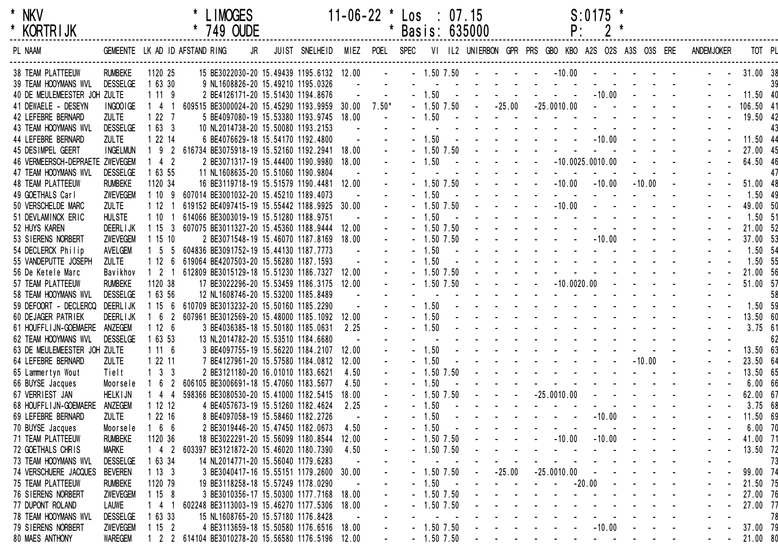| * | <b>NKV</b> |  |
|---|------------|--|
| * | KORTR I JK |  |

| <b>KORIRIJK</b>                 |                 |                     | 749 OUDE                                         |    |                |       |                |                | Basis: 635000                                       |          |                | Ρ.                                                                       |          |                                                             |          |                   |           |        |
|---------------------------------|-----------------|---------------------|--------------------------------------------------|----|----------------|-------|----------------|----------------|-----------------------------------------------------|----------|----------------|--------------------------------------------------------------------------|----------|-------------------------------------------------------------|----------|-------------------|-----------|--------|
| PL NAAM                         |                 |                     | GEMEENTE LK AD ID AFSTAND RING                   | JR | JUIST SNELHEID | MIEZ  | POEL SPEC      |                | VI IL2 UNIERBON GPR PRS GBO KBO A2S O2S A3S O3S ERE |          |                |                                                                          |          |                                                             |          | <b>ANDEMJOKER</b> |           | TOT PL |
|                                 |                 |                     |                                                  |    |                |       | $\mathbf{u}$ . |                |                                                     |          |                |                                                                          |          |                                                             |          |                   | 31.00 38  |        |
| <b>38 TEAM PLATTEEUW</b>        | <b>RUMBEKE</b>  | 1120 25             | 15 BE3022030-20 15.49439 1195.6132 12.00         |    |                |       |                |                | $-1.50$ 7.50 $  -$                                  |          |                | $-10.00$                                                                 |          |                                                             |          |                   |           |        |
| 39 TEAM HOOYMANS WVL            | <b>DESSELGE</b> | 1 63 30             | 9 NL1608826-20 15.49210 1195.0326                |    |                |       |                | $-1.50$        |                                                     |          |                |                                                                          |          | $-10.00$                                                    |          |                   | 11.50 40  | 39     |
| 40 DE MEULEMEESTER JOH ZULTE    |                 | 1119                | 2 BE4126171-20 15.51430 1194.8676                |    |                |       |                |                |                                                     |          |                | $\sim$ $-$                                                               |          |                                                             |          |                   |           |        |
| 41 DEWAELE - DESEYN             | INGOOIGE        | 4 1                 | 609515 BE3000024-20 15.45290 1193.9959 30.00     |    |                |       | $7.50*$        | $-1.50$ 7.50   |                                                     | $-25.00$ |                | $-25.0010.00$                                                            |          |                                                             |          |                   | 106.50 41 |        |
| 42 LEFEBRE BERNARD              | <b>ZULTE</b>    | 1227                | 5 BE4097080-19 15.53380 1193.9745 18.00          |    |                |       |                | $-1.50$        |                                                     |          |                |                                                                          |          |                                                             |          |                   | 19.50 42  |        |
| 43 TEAM HOOYMANS WVL            | <b>DESSELGE</b> | 1633                | 10 NL2014738-20 15.50080 1193.2153               |    |                |       |                | $-1.50$        |                                                     |          |                |                                                                          |          |                                                             |          |                   |           | 43     |
| 44 LEFEBRE BERNARD              | <b>ZULTE</b>    | 1 22 14             | 6 BE4076629-18 15.54170 1192.4800                |    |                |       |                |                |                                                     |          |                |                                                                          |          | $-10.00$                                                    |          |                   | 11.50 44  |        |
| 45 DESIMPEL GEERT               | <b>INGELMUN</b> | 9 <sub>2</sub>      | 616734 BE3075918-19 15.52160 1192.2941           |    |                | 18.00 |                | $-1.50$ 7.50   |                                                     |          |                |                                                                          |          |                                                             |          |                   | 27.00 45  |        |
| 46 VERMEERSCH-DEPRAETE ZWEVEGEM |                 | 4 <sup>2</sup>      | 2 BE3071317-19 15.44400 1190.9980                |    |                | 18.00 |                | 1.50           |                                                     |          |                | $-10.0025.0010.00$                                                       |          |                                                             |          |                   | 64.50 46  |        |
| 47 TEAM HOOYMANS WVL            | <b>DESSELGE</b> | 1 63 55             | 11 NL1608635-20 15.51060 1190.9804               |    |                |       |                |                |                                                     |          |                |                                                                          |          |                                                             |          |                   |           | 47     |
| <b>48 TEAM PLATTEEUW</b>        | <b>RUMBEKE</b>  | 1120 34             | 16 BE3119718-19 15.51579 1190.4481 12.00         |    |                |       |                | 1.50 7.50      |                                                     |          |                | $-10.00$                                                                 |          | $-10.00$                                                    | $-10.00$ |                   | 51.00 48  |        |
| 49 GOETHALS Carl                | ZWEVEGEM        | 1109                | 607014 BE3001032-20 15.45210 1189.4073           |    |                |       |                | 1.50           |                                                     |          |                | $\mathbf{u} = \mathbf{u} \cdot \mathbf{u}$                               |          |                                                             |          |                   | 1.50 49   |        |
| 50 VERSCHELDE MARC              | <b>ZULTE</b>    | 112                 | 619152 BE4097415-19 15.55442 1188.9925 30.00     |    |                |       |                | 1.50 7.50      |                                                     |          |                | $-10.00$                                                                 |          |                                                             |          |                   | 49.00 50  |        |
| 51 DEVLAMINCK ERIC              | <b>HULSTE</b>   | 110                 | 614066 BE3003019-19 15.51280 1188.9751           |    |                |       |                | 1.50           |                                                     |          |                |                                                                          |          |                                                             |          |                   | 1.50 51   |        |
| 52 HUYS KAREN                   | <b>DEERLIJK</b> | 1153                | 607075 BE3011327-20 15.45360 1188.9444           |    |                | 12.00 |                | $-1.50$ $7.50$ |                                                     |          |                |                                                                          |          |                                                             |          |                   | 21.00 52  |        |
| 53 SIERENS NORBERT              | ZWEVEGEM        | 1 15 10             | 2 BE3071548-19 15.46070 1187.8169                |    |                | 18.00 |                | $-1.50$ 7.50   |                                                     |          |                |                                                                          |          | $-10.00$                                                    |          |                   | 37.00 53  |        |
| 54 DECLERCK Philip              | AVELGEM         | 5 5                 | 604836 BE3091752-19 15.44130 1187.7773           |    |                |       |                | 1.50           |                                                     |          |                |                                                                          |          |                                                             |          |                   | 1.50 54   |        |
| 55 VANDEPUTTE JOSEPH            | <b>ZULTE</b>    | 1126                | 619064 BE4207503-20 15.56280 1187.1593           |    |                |       |                | 1.50           |                                                     |          |                |                                                                          |          |                                                             |          |                   | 1.50 55   |        |
| 56 De Ketele Marc               | Bavikhov        | 2 <sub>1</sub>      | 612809 BE3015129-18 15.51230 1186.7327 12.00     |    |                |       |                | $-1.50$ 7.50   |                                                     |          |                |                                                                          |          |                                                             |          |                   | 21.00 56  |        |
| 57 TEAM PLATTEEUW               | <b>RUMBEKE</b>  | 1120 38             | 17 BE3022296-20 15.53459 1186.3175               |    |                | 12.00 |                | $-1.50$ 7.50   |                                                     |          |                | $-10.0020.00$                                                            |          |                                                             |          |                   | 51.00 57  |        |
| 58 TEAM HOOYMANS WVL            | <b>DESSELGE</b> | 1 63 56             | 12 NL1608746-20 15.53200 1185.8489               |    |                |       |                |                |                                                     |          |                |                                                                          |          |                                                             |          |                   |           | 58     |
| 59 DEFOORT - DECLERCQ DEERLIJK  |                 | 156                 | 610709 BE3013232-20 15.50160 1185.2290           |    |                |       |                | $-1.50$        |                                                     |          |                |                                                                          |          |                                                             |          |                   | 1.50 59   |        |
| 60 DEJAGER PATRIEK              | <b>DEERLIJK</b> | 6 <sup>2</sup>      | 607961 BE3012569-20 15.48000 1185.1092           |    |                | 12.00 |                | 1.50           |                                                     |          |                |                                                                          |          |                                                             |          |                   | 13.50 60  |        |
| 61 HOUFFLIJN-GOEMAERE           | ANZEGEM         | 1126                | 3 BE4036385-18 15.50180 1185.0631                |    |                | 2.25  |                | 1.50           |                                                     |          |                |                                                                          |          |                                                             |          |                   | $3.75$ 61 |        |
| 62 TEAM HOOYMANS WVL            | <b>DESSELGE</b> | 1 63 53             | 13 NL2014782-20 15.53510 1184.6680               |    |                |       |                |                |                                                     |          |                |                                                                          |          |                                                             |          |                   |           | 62     |
| 63 DE MEULEMEESTER JOH ZULTE    |                 | 1116                | 3 BE4097755-19 15.56220 1184.2107                |    |                | 12.00 |                | $-1.50$        |                                                     |          | <b>Service</b> |                                                                          |          |                                                             |          |                   | 13.50 63  |        |
| 64 LEFEBRE BERNARD              | <b>ZULTE</b>    | 1 22 11             | 7 BE4127961-20 15.57580 1184.0812                |    |                | 12.00 |                | 1.50           |                                                     |          |                | $\mathbf{u} = \mathbf{u} + \mathbf{u}$ , where $\mathbf{u} = \mathbf{u}$ |          |                                                             | $-10.00$ |                   | 23.50 64  |        |
| 65 Lammertyn Wout               | Tielt           | $1 \quad 3 \quad 3$ | 2 BE3121180-20 16.01010 1183.6621                |    |                | 4.50  |                | 1.50 7.50      |                                                     |          |                |                                                                          |          |                                                             |          |                   | 13.50 65  |        |
| 66 BUYSE Jacques                | Moorsele        | 6 2                 | 606105 BE3006691-18 15.47060 1183.5677           |    |                | 4.50  |                | 1.50           |                                                     |          |                |                                                                          |          |                                                             |          |                   | 6.0066    |        |
| 67 VERRIEST JAN                 | <b>HELKIJN</b>  | 44                  | 598366 BE3080530-20 15.41000 1182.5415           |    |                | 18.00 |                | $-1.50$ 7.50   |                                                     |          |                | $-25.0010.00$                                                            |          |                                                             |          |                   | 62.00 67  |        |
| 68 HOUFFL I JN-GOEMAERE         | ANZEGEM         | 1 12 12             | 4 BE4057673-19 15.51260 1182.4624                |    |                | 2.25  |                | $-1.50$        |                                                     |          |                |                                                                          |          |                                                             |          |                   | 3.7568    |        |
| 69 LEFEBRE BERNARD              | <b>ZULTE</b>    | 12216               | 8 BE4097058-19 15.58460 1182.2726                |    |                |       |                | 1.50           |                                                     |          |                |                                                                          |          | $-10.00$                                                    |          |                   | 11.50 69  |        |
| 70 BUYSE Jacques                | Moorsele        | 6 6                 | 2 BE3019446-20 15.47450 1182.0673                |    |                | 4.50  |                | 1.50           |                                                     |          |                |                                                                          |          |                                                             |          |                   | $6.00$ 70 |        |
| <b>71 TEAM PLATTEEUW</b>        | <b>RUMBEKE</b>  | 1120 36             | 18 BE3022291-20 15.56099 1180.8544               |    |                | 12.00 |                | $1.50$ $7.50$  |                                                     |          |                | $-10.00$                                                                 |          | $-10.00$                                                    |          |                   | 41.00 71  |        |
| 72 GOETHALS CHRIS               | <b>MARKE</b>    | 42                  | 603397 BE3121872-20 15.46020 1180.7390           |    |                | 4.50  |                | 1.50 7.50      |                                                     |          |                |                                                                          |          |                                                             |          |                   | 13.50 72  |        |
| 73 TEAM HOOYMANS WVL            | <b>DESSELGE</b> | 63 34               | 14 NL2014771-20 15.56040 1179.6283               |    |                |       |                |                |                                                     |          |                |                                                                          |          |                                                             |          |                   |           | 73     |
| 74 VERSCHUERE JACQUES           | Beveren         | 1133                | 3 BE3040417-16 15.55151 1179.2600 30.00          |    |                |       |                | $-1.50$ 7.50   |                                                     | $-25.00$ |                | $-25.0010.00$                                                            |          |                                                             |          |                   | 99.00 74  |        |
| 75 TEAM PLATTEEUW               | <b>RUMBEKE</b>  | 1120 79             | 19 BE3118258-18 15.57249 1178.0290               |    |                |       |                | 1.50           |                                                     |          |                |                                                                          | $-20.00$ |                                                             |          |                   | 21.50 75  |        |
| 76 SIERENS NORBERT              | ZWEVEGEM        | 1158                | 3 BE3010356-17 15.50300 1177.7168                |    |                | 18.00 |                | $-1.50$ $7.50$ |                                                     |          |                |                                                                          |          |                                                             |          |                   | 27.00 76  |        |
| 77 DUPONT ROLAND                | <b>LAUWE</b>    | $4 \quad 1$         | 602248 BE3113003-19 15.46270 1177.5306           |    |                | 18.00 |                | 1.50 7.50      |                                                     |          |                |                                                                          |          |                                                             |          |                   | 27.00 77  |        |
| 78 TEAM HOOYMANS WVL            | <b>DESSELGE</b> | 63 33               | 15 NL1608765-20 15.57180 1176.8428               |    |                |       |                |                |                                                     |          |                |                                                                          |          |                                                             |          |                   |           | 78     |
| 79 SIERENS NORBERT              | ZWEVEGEM        | 1152                | 4 BE3113659-18 15.50580 1176.6516                |    |                | 18.00 |                | $-1.50$ $7.50$ |                                                     |          |                |                                                                          |          | $-10.00$                                                    |          |                   | 37.00 79  |        |
| 80 MAES ANTHONY                 | <b>WAREGEM</b>  |                     | 2 2 614104 BE3010278-20 15.56580 1176.5196 12.00 |    |                |       |                | $-1.50$ 7.50   |                                                     |          |                |                                                                          |          | $\mathcal{L}_{\text{max}}$ , and $\mathcal{L}_{\text{max}}$ |          |                   | 21.00 80  |        |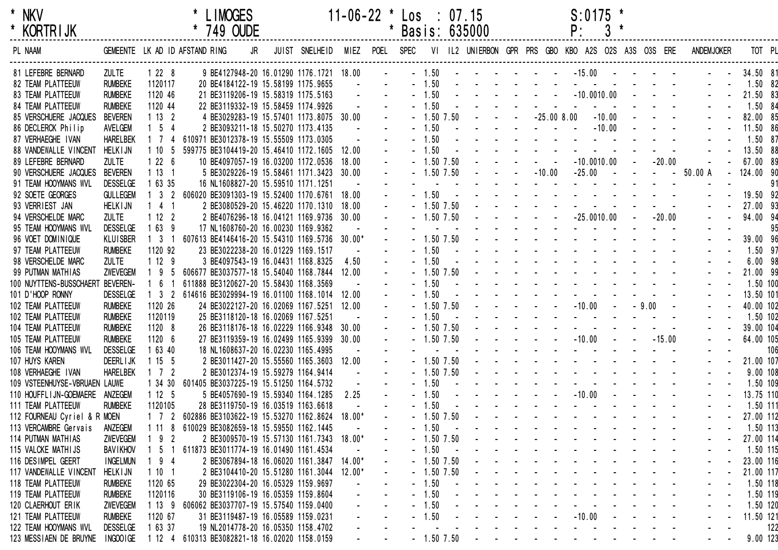| $\star$ | NKV             |  |
|---------|-----------------|--|
| $\star$ | <b>KORTRIJK</b> |  |

| <b>KORIRIJK</b>                  |                 |                                | 749 OUDE                                      |    |                |          |           |                | Basis: 635000 |                                                                                                                                                                                                                               | Ρ:                                                                                                                                                                                                                            | $\mathbf{3}$                                            |            |                                                                   |            |           |           |
|----------------------------------|-----------------|--------------------------------|-----------------------------------------------|----|----------------|----------|-----------|----------------|---------------|-------------------------------------------------------------------------------------------------------------------------------------------------------------------------------------------------------------------------------|-------------------------------------------------------------------------------------------------------------------------------------------------------------------------------------------------------------------------------|---------------------------------------------------------|------------|-------------------------------------------------------------------|------------|-----------|-----------|
| PL NAAM                          |                 |                                | GEMEENTE LK AD ID AFSTAND RING                | JR | JUIST SNELHEID | MIEZ     | POEL SPEC |                |               |                                                                                                                                                                                                                               | VI IL2 UNIERBON GPR PRS GBO KBO A2S O2S A3S O3S ERE                                                                                                                                                                           |                                                         |            |                                                                   | ANDEMJOKER |           | TOT PL    |
| 81 LEFEBRE BERNARD               | <b>ZULTE</b>    | 1228                           | 9 BE4127948-20 16.01290 1176.1721 18.00       |    |                |          |           | $-1.50$        |               |                                                                                                                                                                                                                               | $-15.00 -$                                                                                                                                                                                                                    |                                                         |            |                                                                   |            | 34.50 81  |           |
| 82 TEAM PLATTEEUW                | <b>RUMBEKE</b>  | 1120117                        | 20 BE4184122-19 15.58199 1175.9655            |    |                |          |           | $-1.50$        |               |                                                                                                                                                                                                                               |                                                                                                                                                                                                                               |                                                         |            |                                                                   |            |           | 1.50 82   |
| <b>83 TEAM PLATTEEUW</b>         | <b>RUMBEKE</b>  | 1120 46                        | 21 BE3119206-19 15.58319 1175.5163            |    |                |          |           | $-1.50$        |               |                                                                                                                                                                                                                               | $-10.0010.00$                                                                                                                                                                                                                 |                                                         |            |                                                                   |            | 21.50 83  |           |
| <b>84 TEAM PLATTEEUW</b>         | <b>RUMBEKE</b>  | 1120 44                        | 22 BE3119332-19 15.58459 1174.9926            |    |                |          |           | $-1.50$        |               |                                                                                                                                                                                                                               |                                                                                                                                                                                                                               | $\mathcal{L}_{\rm{max}}$ , and $\mathcal{L}_{\rm{max}}$ |            |                                                                   |            |           | 1.50 84   |
| 85 VERSCHUERE JACQUES            | BEVEREN         | 1132                           | 4 BE3029283-19 15.57401 1173.8075 30.00       |    |                |          |           | $-1.50$ 7.50   |               | $-25.008.00$                                                                                                                                                                                                                  |                                                                                                                                                                                                                               | $-10.00$                                                |            |                                                                   |            | 82.00 85  |           |
| 86 DECLERCK Philip               | AVELGEM         | $1 \quad 5 \quad 4$            | 2 BE3093211-18 15.50270 1173.4135             |    |                |          |           | $-1.50$        |               | $\mathbf{u} = \mathbf{u} + \mathbf{u} + \mathbf{u}$ .                                                                                                                                                                         |                                                                                                                                                                                                                               | $-10.00$                                                |            |                                                                   |            | 11.50 86  |           |
| 87 VERHAEGHE IVAN                | <b>HARELBEK</b> | 1 7 4                          | 610971 BE3012378-19 15.55509 1173.0305        |    |                |          |           | 1.50           |               |                                                                                                                                                                                                                               |                                                                                                                                                                                                                               | $\sim 10^{-10}$ and $\sim 10^{-10}$                     |            |                                                                   |            |           | 1.50 87   |
| 88 VANDEWALLE VINCENT            | <b>HELKIJN</b>  | 1105                           | 599775 BE3104419-20 15.46410 1172.1605        |    |                | 12.00    |           | $-1.50$        |               |                                                                                                                                                                                                                               |                                                                                                                                                                                                                               |                                                         |            |                                                                   |            | 13.50 88  |           |
| 89 LEFEBRE BERNARD               | <b>ZULTE</b>    | 1226                           | 10 BE4097057-19 16.03200 1172.0536            |    |                | 18.00    |           | $-1.50$ 7.50   |               | $\Delta \phi = 0.1$                                                                                                                                                                                                           | $-10.0010.00$                                                                                                                                                                                                                 |                                                         | $\sim 100$ | $-20.00$                                                          |            | 67.00 89  |           |
| 90 VERSCHUERE JACQUES            | <b>BEVEREN</b>  | 1131                           | 5 BE3029226-19 15.58461 1171.3423 30.00       |    |                |          |           | $-1.50$ 7.50   |               | $-10.00$                                                                                                                                                                                                                      | $-25.00$                                                                                                                                                                                                                      | $\sim$ $-$                                              |            |                                                                   | $-50.00 A$ | 124.00 90 |           |
| 91 TEAM HOOYMANS WVL             | <b>DESSELGE</b> | 1 63 35                        | 16 NL1608827-20 15.59510 1171.1251            |    |                |          |           |                |               |                                                                                                                                                                                                                               |                                                                                                                                                                                                                               |                                                         |            |                                                                   |            |           | 91        |
| 92 SOETE GEORGES                 | <b>GULLEGEM</b> | 3 <sub>2</sub>                 | 606020 BE3091303-19 15.52400 1170.6761 18.00  |    |                |          |           | $-1.50$        |               |                                                                                                                                                                                                                               |                                                                                                                                                                                                                               |                                                         |            |                                                                   |            | 19.50 92  |           |
| 93 VERRIEST JAN                  | <b>HELKIJN</b>  | 4 <sub>1</sub>                 | 2 BE3080529-20 15.46220 1170.1310             |    |                | 18.00    |           | $-1.50$ 7.50   |               |                                                                                                                                                                                                                               |                                                                                                                                                                                                                               |                                                         |            |                                                                   |            | 27.00 93  |           |
| 94 VERSCHELDE MARC               | <b>ZULTE</b>    | 1122                           | 2 BE4076296-18 16.04121 1169.9736 30.00       |    |                |          |           | $-1.50$ 7.50   |               |                                                                                                                                                                                                                               | $-25.0010.00$                                                                                                                                                                                                                 |                                                         |            | $-20.00$                                                          |            | 94.00 94  |           |
| 95 TEAM HOOYMANS WVL             | <b>DESSELGE</b> | 1639                           | 17 NL1608760-20 16.00230 1169.9362            |    |                |          |           |                |               |                                                                                                                                                                                                                               |                                                                                                                                                                                                                               |                                                         |            |                                                                   |            |           | 95        |
| 96 VOET DOMINIQUE                | <b>KLUISBER</b> | 3 <sub>1</sub>                 | 607613 BE4146416-20 15.54310 1169.5736 30.00* |    |                |          |           | $-1.50$ 7.50   |               | $\mathbf{L}^{\mathcal{A}} = \left\{ \mathbf{L}^{\mathcal{A}} \right\} \left( \mathbf{L}^{\mathcal{A}} \right) = \left\{ \mathbf{L}^{\mathcal{A}} \right\} \left( \mathbf{L}^{\mathcal{A}} \right) = \mathbf{L}^{\mathcal{A}}$ |                                                                                                                                                                                                                               |                                                         |            |                                                                   |            | 39.00 96  |           |
| 97 TEAM PLATTEEUW                | <b>RUMBEKE</b>  | 1120 92                        | 23 BE3022238-20 16.01229 1169.1517            |    |                |          |           | $-1.50$        |               | and a straight and a                                                                                                                                                                                                          |                                                                                                                                                                                                                               |                                                         |            |                                                                   |            |           | 1.50 97   |
| 98 VERSCHELDE MARC               | <b>ZULTE</b>    | 1129                           | 3 BE4097543-19 16.04431 1168.8325             |    |                | 4.50     |           | $-1.50$        |               |                                                                                                                                                                                                                               | and a series of the series of the series                                                                                                                                                                                      |                                                         |            |                                                                   |            |           | $6.00$ 98 |
| 99 PUTMAN MATHIAS                | ZWEVEGEM        | 195                            | 606677 BE3037577-18 15.54040 1168.7844 12.00  |    |                |          |           | $-1.50$ 7.50   |               |                                                                                                                                                                                                                               | and a series of the series of the                                                                                                                                                                                             |                                                         |            |                                                                   |            | 21.00 99  |           |
| 100 NUYTTENS-BUSSCHAERT BEVEREN- |                 | 6 1                            | 611888 BE3120627-20 15.58430 1168.3569        |    |                |          |           | 1.50           |               | and a straight and a straight and                                                                                                                                                                                             |                                                                                                                                                                                                                               |                                                         |            |                                                                   |            |           | 1.50 100  |
| 101 D'HOOP RONNY                 | <b>DESSELGE</b> | 3 <sub>2</sub>                 | 614616 BE3029994-19 16.01100 1168.1014        |    |                | 12.00    |           | 1.50           |               |                                                                                                                                                                                                                               |                                                                                                                                                                                                                               |                                                         |            |                                                                   |            | 13.50 101 |           |
| 102 TEAM PLATTEEUW               | <b>RUMBEKE</b>  | 1120 26                        | 24 BE3022127-20 16.02069 1167.5251 12.00      |    |                |          |           | $-1.50$ 7.50   |               |                                                                                                                                                                                                                               | $-10.00$                                                                                                                                                                                                                      |                                                         | $-9.00$    | $\sim$ $\sim$                                                     |            | 40.00 102 |           |
| 102 TEAM PLATTEEUW               | <b>RUMBEKE</b>  | 1120119                        | 25 BE3118120-18 16.02069 1167.5251            |    |                |          |           | 1.50           |               |                                                                                                                                                                                                                               |                                                                                                                                                                                                                               |                                                         |            |                                                                   |            |           | 1.50 102  |
| 104 TEAM PLATTEEUW               | <b>RUMBEKE</b>  | 1120 8                         | 26 BE3118176-18 16.02229 1166.9348 30.00      |    |                |          |           | $-1.50$ 7.50   |               |                                                                                                                                                                                                                               |                                                                                                                                                                                                                               |                                                         |            |                                                                   |            | 39.00 104 |           |
| 105 TEAM PLATTEEUW               | <b>RUMBEKE</b>  | 1120 6                         | 27 BE3119359-19 16.02499 1165.9399 30.00      |    |                |          |           | $-1.50$ 7.50   |               |                                                                                                                                                                                                                               | $-10.00$                                                                                                                                                                                                                      |                                                         |            | $-15.00$                                                          |            | 64.00 105 |           |
| 106 TEAM HOOYMANS WVL            | <b>DESSELGE</b> | 1 63 40                        | 18 NL1608637-20 16.02230 1165.4995            |    |                |          |           |                |               |                                                                                                                                                                                                                               |                                                                                                                                                                                                                               |                                                         |            |                                                                   |            |           | 106       |
| 107 HUYS KAREN                   | <b>DEERLIJK</b> | 1155                           | 2 BE3011427-20 15.55560 1165.3603 12.00       |    |                |          |           | $-1.50$ 7.50   |               | the contract of the contract of the                                                                                                                                                                                           |                                                                                                                                                                                                                               | <b>Contract Contract</b>                                |            |                                                                   |            | 21.00 107 |           |
| 108 VERHAEGHE IVAN               | <b>HARELBEK</b> | $1 \quad 7 \quad 2$            | 2 BE3012374-19 15.59279 1164.9414             |    |                |          |           | $-1.50$ 7.50   |               | and a straight and a straight                                                                                                                                                                                                 | <b>Contract</b>                                                                                                                                                                                                               |                                                         |            |                                                                   |            |           | 9.00 108  |
| 109 VSTEENHUYSE-VBRUAEN LAUWE    |                 | 1 34 30                        | 601405 BE3037225-19 15.51250 1164.5732        |    |                |          |           | $-1.50$        |               |                                                                                                                                                                                                                               |                                                                                                                                                                                                                               |                                                         |            |                                                                   |            |           | 1.50 109  |
| 110 HOUFFLIJN-GOEMAERE ANZEGEM   |                 | 1125                           | 5 BE4057690-19 15.59340 1164.1285             |    |                | 2.25     |           | $-1.50$        |               | <b>Contract Contract</b>                                                                                                                                                                                                      | $-10.00$                                                                                                                                                                                                                      |                                                         |            |                                                                   |            | 13.75 110 |           |
| 111 TEAM PLATTEEUW               | <b>RUMBEKE</b>  | 1120105                        | 28 BE3119750-19 16.03519 1163.6618            |    |                |          |           | $-1.50$        |               |                                                                                                                                                                                                                               |                                                                                                                                                                                                                               | and the state of the state of                           |            |                                                                   |            |           | 1.50 111  |
| 112 FOURNEAU Cyriel & R MOEN     |                 | $1 \quad 7 \quad 2$            | 602886 BE3103622-19 15.53270 1162.8624 18.00* |    |                |          |           | 1.50 7.50      |               |                                                                                                                                                                                                                               |                                                                                                                                                                                                                               |                                                         |            |                                                                   |            | 27.00 112 |           |
| 113 VERCAMBRE Gervais            | ANZEGEM         | 1118                           | 610029 BE3082659-18 15.59550 1162.1445        |    |                |          |           | 1.50           |               |                                                                                                                                                                                                                               | the contract of the contract of the contract of the contract of the contract of the contract of the contract of                                                                                                               |                                                         |            |                                                                   |            |           | 1.50 113  |
| 114 PUTMAN MATHIAS               | ZWEVEGEM        | 9 <sub>2</sub><br>$\mathbf{1}$ | 2 BE3009570-19 15.57130 1161.7343 18.00*      |    |                |          |           | $-1.50$ $7.50$ |               |                                                                                                                                                                                                                               |                                                                                                                                                                                                                               |                                                         |            |                                                                   |            | 27.00 114 |           |
| 115 VALCKE MATHIJS               | <b>BAVIKHOV</b> | 5                              | 611873 BE3011774-19 16.01490 1161.4534        |    |                |          |           | $-1.50$        |               |                                                                                                                                                                                                                               |                                                                                                                                                                                                                               |                                                         |            |                                                                   |            |           | 1.50 115  |
| 116 DESIMPEL GEERT               | <b>INGELMUN</b> | 9 <sub>4</sub>                 | 2 BE3067894-18 16.06020 1161.3847 14.00*      |    |                |          |           | $-1.50$ 7.50   |               |                                                                                                                                                                                                                               |                                                                                                                                                                                                                               |                                                         |            |                                                                   |            | 23.00 116 |           |
| 117 VANDEWALLE VINCENT           | <b>HELKIJN</b>  | 1101                           | 2 BE3104410-20 15.51280 1161.3044             |    |                | $12.00*$ |           | $-1.50$ 7.50   |               |                                                                                                                                                                                                                               | and a series of the contract of the                                                                                                                                                                                           |                                                         |            |                                                                   |            | 21.00 117 |           |
| 118 TEAM PLATTEEUW               | <b>RUMBEKE</b>  | 1120 65                        | 29 BE3022304-20 16.05329 1159.9697            |    |                |          |           | $-1.50$        |               |                                                                                                                                                                                                                               | والوالد والمناول والوالد الوالد والمناو                                                                                                                                                                                       |                                                         |            |                                                                   |            |           | 1.50 118  |
| <b>119 TEAM PLATTEEUW</b>        | <b>RUMBEKE</b>  | 1120116                        | 30 BE3119106-19 16.05359 1159.8604            |    |                |          |           | $-1.50$        |               |                                                                                                                                                                                                                               | a construction of the construction of the construction of the construction of the construction of the construction of the construction of the construction of the construction of the construction of the construction of the |                                                         |            |                                                                   |            |           | 1.50 119  |
| 120 CLAERHOUT ERIK               | ZWEVEGEM        | 1139                           | 606062 BE3037707-19 15.57540 1159.0400        |    |                |          |           | 1.50           |               |                                                                                                                                                                                                                               | والتابين والمتناول والتواطئ والمتناو                                                                                                                                                                                          |                                                         |            |                                                                   |            |           | 1.50 120  |
| 121 TEAM PLATTEEUW               | <b>RUMBEKE</b>  | 1120 67                        | 31 BE3119487-19 16.05589 1159.0231            |    |                |          |           | 1.50           |               |                                                                                                                                                                                                                               | $-10.00$                                                                                                                                                                                                                      |                                                         |            | $\mathcal{A}(\mathcal{A})$ , and $\mathcal{A}(\mathcal{A})$ , and |            | 11.50 121 |           |
| 122 TEAM HOOYMANS WVL            | <b>DESSELGE</b> | 1 63 37                        | 19 NL2014778-20 16.05350 1158.4702            |    |                |          |           |                |               |                                                                                                                                                                                                                               |                                                                                                                                                                                                                               |                                                         |            |                                                                   |            |           | 122       |
| 123 MESSIAEN DE BRUYNE INGOOIGE  |                 | 1124                           | 610313 BE3082821-18 16.02020 1158.0159        |    |                |          |           | $-1.50$ 7.50   |               |                                                                                                                                                                                                                               |                                                                                                                                                                                                                               |                                                         |            |                                                                   |            |           | 9.00 123  |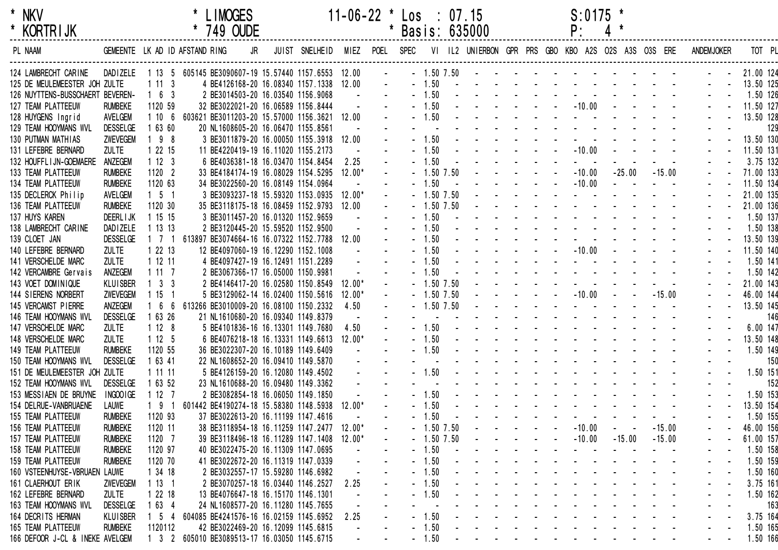| KORTR I JK |  |  |
|------------|--|--|
|            |  |  |

| <b>KORIRIJK</b>                  |                 |                     | 749 OUDE                                                     |    |                |          |                |                |                | Basis: 635000 |                                                                                                 | Ρ.                                                                                                                                                                                                                             |                                              |          |                   |           |          |
|----------------------------------|-----------------|---------------------|--------------------------------------------------------------|----|----------------|----------|----------------|----------------|----------------|---------------|-------------------------------------------------------------------------------------------------|--------------------------------------------------------------------------------------------------------------------------------------------------------------------------------------------------------------------------------|----------------------------------------------|----------|-------------------|-----------|----------|
| PL NAAM                          |                 |                     | GEMEENTE LK AD ID AFSTAND RING                               | JR | JUIST SNELHEID | MIEZ     | POEL SPEC      |                |                |               |                                                                                                 | VI IL2 UNIERBON GPR PRS GBO KBO A2S O2S A3S O3S ERE                                                                                                                                                                            |                                              |          | <b>ANDEMJOKER</b> |           | TOT PL   |
| 124 LAMBRECHT CARINE             |                 |                     | DADIZELE 1 13 5 605145 BE3090607-19 15.57440 1157.6553 12.00 |    |                |          | $\blacksquare$ |                | $-1.50$ $7.50$ |               |                                                                                                 | the contract of the contract of the contract of                                                                                                                                                                                |                                              |          |                   | 21.00 124 |          |
| 125 DE MEULEMEESTER JOH ZULTE    |                 | 1113                | 4 BE4126168-20 16.08340 1157.1338 12.00                      |    |                |          |                | $-1.50$        | $\sim$         |               |                                                                                                 | the contract of the contract of the contract of                                                                                                                                                                                |                                              |          |                   | 13.50 125 |          |
| 126 NUYTTENS-BUSSCHAERT BEVEREN- |                 | $1\quad6\quad3$     | 2 BE3014503-20 16.03540 1156.9068                            |    |                |          |                | $-1.50$        |                |               |                                                                                                 |                                                                                                                                                                                                                                |                                              |          |                   |           | 1.50 126 |
| 127 TEAM PLATTEEUW               | <b>RUMBEKE</b>  | 1120 59             | 32 BE3022021-20 16.06589 1156.8444                           |    |                |          |                | $-1.50$        |                |               |                                                                                                 | $-10.00$                                                                                                                                                                                                                       |                                              |          |                   | 11.50 127 |          |
| 128 HUYGENS Ingrid               | AVELGEM         | 1106                | 603621 BE3011203-20 15.57000 1156.3621 12.00                 |    |                |          |                | $-1.50$        |                |               |                                                                                                 | $\sim 100$                                                                                                                                                                                                                     |                                              |          |                   | 13.50 128 |          |
| 129 TEAM HOOYMANS WVL            | <b>DESSELGE</b> | 1 63 60             | 20 NL1608605-20 16.06470 1155.8561                           |    |                |          |                |                |                |               |                                                                                                 |                                                                                                                                                                                                                                |                                              |          |                   |           | 129      |
| 130 PUTMAN MATHIAS               | ZWEVEGEM        | 98                  | 3 BE3011879-20 16.00050 1155.3918 12.00                      |    |                |          |                | $-1.50$        |                |               |                                                                                                 |                                                                                                                                                                                                                                |                                              |          |                   | 13.50 130 |          |
| 131 LEFEBRE BERNARD              | <b>ZULTE</b>    | 1 22 15             | 11 BE4220419-19 16.11020 1155.2173                           |    |                |          |                | $-1.50$        |                |               | $\omega_{\rm{max}}$ , and $\omega_{\rm{max}}$ , and                                             | $-10.00$                                                                                                                                                                                                                       |                                              |          |                   | 11.50 131 |          |
| 132 HOUFFL I JN-GOEMAERE         | ANZEGEM         | 1123                | 6 BE4036381-18 16.03470 1154.8454                            |    |                | 2.25     |                | $-1.50$        |                |               |                                                                                                 | $\sim 100$ m $^{-1}$                                                                                                                                                                                                           |                                              |          |                   |           | 3.75 132 |
| 133 TEAM PLATTEEUW               | <b>RUMBEKE</b>  | 1120 2              | 33 BE4184174-19 16.08029 1154.5295                           |    |                | $12.00*$ |                | $-1.50$ 7.50   |                |               | and a straight and                                                                              | $-10.00$                                                                                                                                                                                                                       | $-25.00$                                     | $-15.00$ |                   | 71.00 133 |          |
| 134 TEAM PLATTEEUW               | <b>RUMBEKE</b>  | 1120 63             | 34 BE3022560-20 16.08149 1154.0964                           |    |                |          |                | $-1.50$        |                |               | and a straight and                                                                              | $-10.00$                                                                                                                                                                                                                       | $\mathbf{u} = \mathbf{u} \cdot \mathbf{u}$ . |          |                   | 11.50 134 |          |
| 135 DECLERCK Philip              | AVELGEM         | $1\quad5\quad1$     | 3 BE3093237-18 15.59320 1153.0935                            |    |                | 12.00*   |                | $-1.50$ 7.50   |                |               |                                                                                                 | and a straight and a straight                                                                                                                                                                                                  |                                              |          |                   | 21.00 135 |          |
| 136 TEAM PLATTEEUW               | <b>RUMBEKE</b>  | 1120 30             | 35 BE3118175-18 16.08459 1152.9793                           |    |                | 12.00    |                | $-1.50$ 7.50   |                |               | and a straight and                                                                              |                                                                                                                                                                                                                                |                                              |          |                   | 21.00 136 |          |
| 137 HUYS KAREN                   | <b>DEERLIJK</b> | 1 15 15             | 3 BE3011457-20 16.01320 1152.9659                            |    |                |          |                | $-1.50$        |                |               |                                                                                                 | and a series of the series of the series                                                                                                                                                                                       |                                              |          |                   |           | 1.50 137 |
| 138 LAMBRECHT CARINE             | DAD I ZELE      | 11313               | 2 BE3120445-20 15.59520 1152.9500                            |    |                |          |                | $-1.50$        |                |               |                                                                                                 | and a series of the series of the series                                                                                                                                                                                       |                                              |          |                   |           | 1.50 138 |
| 139 CLOET JAN                    | <b>DESSELGE</b> | 1 7 1               | 613897 BE3074664-16 16.07322 1152.7788 12.00                 |    |                |          |                | $-1.50$        |                |               |                                                                                                 |                                                                                                                                                                                                                                |                                              |          |                   | 13.50 139 |          |
| 140 LEFEBRE BERNARD              | <b>ZULTE</b>    | 1 22 13             | 12 BE4097060-19 16.12290 1152.1008                           |    |                |          |                | $-1.50$        |                |               | $\mathcal{L}(\mathcal{A})$ , and $\mathcal{A}(\mathcal{A})$ , and                               | $-10.00$                                                                                                                                                                                                                       |                                              |          |                   | 11.50 140 |          |
| 141 VERSCHELDE MARC              | <b>ZULTE</b>    | 1 12 11             | 4 BE4097427-19 16.12491 1151.2289                            |    |                |          |                | 1.50           |                |               |                                                                                                 |                                                                                                                                                                                                                                |                                              |          |                   |           | 1.50 141 |
| 142 VERCAMBRE Gervais            | ANZEGEM         | 1117                | 2 BE3067366-17 16.05000 1150.9981                            |    |                |          |                | $-1.50$        |                |               |                                                                                                 | design and a state of the state of the                                                                                                                                                                                         |                                              |          |                   |           | 1.50 142 |
| 143 VOET DOMINIQUE               | <b>KLUISBER</b> | $1 \quad 3 \quad 3$ | 2 BE4146417-20 16.02580 1150.8549                            |    |                | $12.00*$ |                | $-1.50$ 7.50   |                |               | $\mathbf{L}^{\text{max}}$ , and $\mathbf{L}^{\text{max}}$ , and $\mathbf{L}^{\text{max}}$       |                                                                                                                                                                                                                                |                                              |          |                   | 21.00 143 |          |
| 144 SIERENS NORBERT              | ZWEVEGEM        | 1151                | 5 BE3129062-14 16.02400 1150.5616                            |    |                | $12.00*$ |                |                | $-1.50$ 7.50   |               | $\mathcal{L}^{\mathcal{A}}_{\mathcal{A}}$ , and $\mathcal{L}^{\mathcal{A}}_{\mathcal{A}}$ , and | $-10.00$                                                                                                                                                                                                                       | <b>Contract Contract</b>                     | $-15.00$ |                   | 46.00 144 |          |
| 145 VERCAMST PIERRE              | ANZEGEM         | 6 6                 | 613266 BE3010009-20 16.08100 1150.2332                       |    |                | 4.50     |                | $-1.50$ 7.50   |                |               |                                                                                                 |                                                                                                                                                                                                                                |                                              |          |                   | 13.50 145 |          |
| 146 TEAM HOOYMANS WVL            | <b>DESSELGE</b> | 1 63 26             | 21 NL1610680-20 16.09340 1149.8379                           |    |                |          |                |                |                |               |                                                                                                 | and a strain and a strain and                                                                                                                                                                                                  |                                              |          |                   |           | 146      |
| 147 VERSCHELDE MARC              | <b>ZULTE</b>    | 1128                | 5 BE4101836-16 16.13301 1149.7680                            |    |                | 4.50     |                | $-1.50$        |                |               |                                                                                                 | the contract of the contract of the con-                                                                                                                                                                                       |                                              |          |                   |           | 6.00 147 |
| 148 VERSCHELDE MARC              | <b>ZULTE</b>    | 1125                | 6 BE4076218-18 16.13331 1149.6613                            |    |                | $12.00*$ |                | $-1.50$        |                |               |                                                                                                 | the contract of the contract of the contract of                                                                                                                                                                                |                                              |          |                   | 13.50 148 |          |
| 149 TEAM PLATTEEUW               | <b>RUMBEKE</b>  | 1120 55             | 36 BE3022307-20 16.10189 1149.6409                           |    |                |          |                | $-1.50$        |                |               |                                                                                                 | the contract of the contract of the contract of the contract of the contract of the contract of the contract of the contract of the contract of the contract of the contract of the contract of the contract of the contract o |                                              |          |                   |           | 1.50 149 |
| 150 TEAM HOOYMANS WVL            | <b>DESSELGE</b> | 1 63 41             | 22 NL1608652-20 16.09410 1149.5870                           |    |                |          |                |                |                |               |                                                                                                 | the contract of the contract of the contract of                                                                                                                                                                                |                                              |          |                   |           | 150      |
| 151 DE MEULEMEESTER JOH ZULTE    |                 | 1 11 11             | 5 BE4126159-20 16.12080 1149.4502                            |    |                |          |                | $-1.50$        |                |               |                                                                                                 | the contract of the contract of the                                                                                                                                                                                            |                                              |          |                   |           | 1.50 151 |
| 152 TEAM HOOYMANS WVL            | <b>DESSELGE</b> | 1 63 52             | 23 NL1610688-20 16.09480 1149.3362                           |    |                |          |                |                |                |               |                                                                                                 | the contract of the contract of the contract of the contract of the contract of the contract of the contract of the contract of the contract of the contract of the contract of the contract of the contract of the contract o |                                              |          |                   |           | 152      |
| 153 MESSIAEN DE BRUYNE           | INGOOIGE        | 1127                | 2 BE3082854-18 16.06050 1149.1850                            |    |                |          |                | $-1.50$        |                |               |                                                                                                 | the contract of the contract of the contract of                                                                                                                                                                                |                                              |          |                   |           | 1.50 153 |
| 154 DELRUE-VANBRUAENE            | <b>LAUWE</b>    | 191                 | 601442 BE4190274-18 15.58380 1148.5938                       |    |                | $12.00*$ |                | $-1.50$        |                |               |                                                                                                 | and a series of the contract of the series of                                                                                                                                                                                  |                                              |          |                   | 13.50 154 |          |
| 155 TEAM PLATTEEUW               | <b>RUMBEKE</b>  | 1120 93             | 37 BE3022613-20 16.11199 1147.4616                           |    |                |          |                | 1.50           |                |               |                                                                                                 |                                                                                                                                                                                                                                |                                              |          |                   |           | 1.50 155 |
| 156 TEAM PLATTEEUW               | <b>RUMBEKE</b>  | 1120 11             | 38 BE3118954-18 16.11259 1147.2477 12.00*                    |    |                |          |                | $-1.50$ $7.50$ |                |               |                                                                                                 | $-10.00$                                                                                                                                                                                                                       |                                              | $-15.00$ |                   | 46.00 156 |          |
| 157 TEAM PLATTEEUW               | <b>RUMBEKE</b>  | 1120 7              | 39 BE3118496-18 16.11289 1147.1408                           |    |                | $12.00*$ |                | $-1.50$ $7.50$ |                |               |                                                                                                 | $-10.00$                                                                                                                                                                                                                       | $-15.00$                                     | $-15.00$ |                   | 61.00 157 |          |
| 158 TEAM PLATTEEUW               | <b>RUMBEKE</b>  | 1120 97             | 40 BE3022475-20 16.11309 1147.0695                           |    |                |          |                | 1.50           |                |               |                                                                                                 |                                                                                                                                                                                                                                |                                              |          |                   |           | 1.50 158 |
| <b>159 TEAM PLATTEEUW</b>        | <b>RUMBEKE</b>  | 1120 70             | 41 BE3022672-20 16.11319 1147.0339                           |    |                |          |                | 1.50           |                |               |                                                                                                 |                                                                                                                                                                                                                                |                                              |          |                   |           | 1.50 159 |
| 160 VSTEENHUYSE-VBRUAEN LAUWE    |                 | 1 34 18             | 2 BE3032557-17 15.59280 1146.6982                            |    |                |          |                | 1.50           |                |               |                                                                                                 |                                                                                                                                                                                                                                |                                              |          |                   |           | 1.50 160 |
| 161 CLAERHOUT ERIK               | ZWEVEGEM        | 1131                | 2 BE3070257-18 16.03440 1146.2527                            |    |                | 2.25     |                | 1.50           |                |               |                                                                                                 |                                                                                                                                                                                                                                |                                              |          |                   |           | 3.75 161 |
| 162 LEFEBRE BERNARD              | <b>ZULTE</b>    | 2218                | 13 BE4076647-18 16.15170 1146.1301                           |    |                |          |                | 1.50           |                |               |                                                                                                 |                                                                                                                                                                                                                                |                                              |          |                   |           | 1.50 162 |
| 163 TEAM HOOYMANS WVL            | <b>DESSELGE</b> | 63 4                | 24 NL1608577-20 16.11280 1145.7655                           |    |                |          |                |                |                |               |                                                                                                 |                                                                                                                                                                                                                                |                                              |          |                   |           | 163      |
| 164 DECRITS HERMAN               | <b>KLUISBER</b> | 5 <sub>4</sub>      | 604085 BE4241576-16 16.02159 1145.6952                       |    |                | 2.25     |                | 1.50           |                |               |                                                                                                 |                                                                                                                                                                                                                                |                                              |          |                   |           | 3.75 164 |
| 165 TEAM PLATTEEUW               | <b>RUMBEKE</b>  | 1120112             | 42 BE3022469-20 16.12099 1145.6815                           |    |                |          |                | 1.50           |                |               |                                                                                                 |                                                                                                                                                                                                                                |                                              |          |                   |           | 1.50 165 |
| 166 DEFOOR J-CL & INEKE AVELGEM  |                 | $1 \quad 3 \quad 2$ | 605010 BE3089513-17 16.03050 1145.6715                       |    |                |          |                | $-1.50$        |                |               |                                                                                                 |                                                                                                                                                                                                                                |                                              |          |                   |           | 1.50 166 |
|                                  |                 |                     |                                                              |    |                |          |                |                |                |               |                                                                                                 |                                                                                                                                                                                                                                |                                              |          |                   |           |          |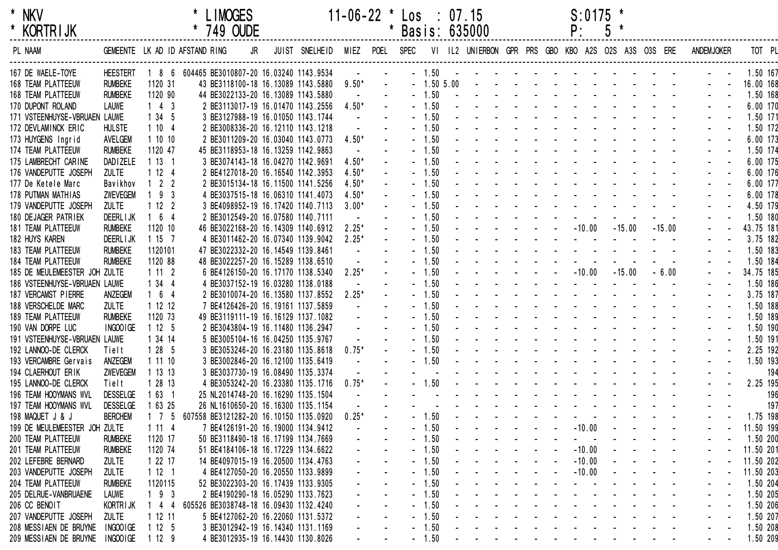| * NKV<br>* KORTRIJK                     |                                |                     | * LIMOGES                                                                                |  |                                   | $11-06-22$ * Los : 07.15 |                        |                    | * Basis: 635000                                                          |                                          |  | $S: 0175$ *<br>$P: 5 *$ |  |  |                                                                                                        |                      |     |
|-----------------------------------------|--------------------------------|---------------------|------------------------------------------------------------------------------------------|--|-----------------------------------|--------------------------|------------------------|--------------------|--------------------------------------------------------------------------|------------------------------------------|--|-------------------------|--|--|--------------------------------------------------------------------------------------------------------|----------------------|-----|
| PL NAAM                                 |                                |                     | GEMEENTE LK AD ID AFSTAND RING                                                           |  |                                   |                          |                        |                    |                                                                          |                                          |  |                         |  |  | JR JUIST SNELHEID MIEZ POEL SPEC VI IL2 UNIERBON GPR PRS GBO KBO A2S O2S A3S O3S ERE ANDEMJOKER TOT PL |                      |     |
| 167 DE WAELE-TOYE<br>168 TEAM PLATTEEUW | HEESTERT<br><b>RUMBEKE</b>     | 1120 31             | 1 8 6 604465 BE3010807-20 16.03240 1143.9534<br>43 BE3118100-18 16.13089 1143.5880 9.50* |  |                                   | and a strategic con-     | $\sim$                 |                    |                                                                          |                                          |  |                         |  |  |                                                                                                        |                      |     |
| 168 TEAM PLATTEEUW                      | <b>RUMBEKE</b>                 | 1120 90             | 44 BE3022133-20 16.13089 1143.5880                                                       |  |                                   | $\sim 100$               |                        |                    |                                                                          |                                          |  |                         |  |  |                                                                                                        |                      |     |
| 170 DUPONT ROLAND                       | <b>LAUWE</b>                   | $1 \quad 4 \quad 3$ |                                                                                          |  | 2 BE3113017-19 16.01470 1143.2556 | 4.50*                    |                        |                    |                                                                          |                                          |  |                         |  |  |                                                                                                        |                      |     |
| 171 VSTEENHUYSE-VBRUAEN LAUWE           |                                | 1345                | 3 BE3127988-19 16.01050 1143.1744                                                        |  |                                   | $\sim$                   |                        |                    |                                                                          |                                          |  |                         |  |  |                                                                                                        |                      |     |
| 172 DEVLAMINCK ERIC                     | <b>HULSTE</b>                  | 1104                | 2 BE3008336-20 16.12110 1143.1218                                                        |  |                                   |                          |                        |                    |                                                                          |                                          |  |                         |  |  |                                                                                                        |                      |     |
| 173 HUYGENS Ingrid                      | AVELGEM                        | 1 10 10             | 2 BE3011209-20 16.03040 1143.0773                                                        |  |                                   | $4.50*$                  |                        |                    |                                                                          |                                          |  |                         |  |  |                                                                                                        |                      |     |
| 174 TEAM PLATTEEUW                      | <b>RUMBEKE</b>                 | 1120 47             | 45 BE3118953-18 16.13259 1142.9863                                                       |  |                                   |                          |                        |                    |                                                                          |                                          |  |                         |  |  |                                                                                                        |                      |     |
| 175 LAMBRECHT CARINE                    | <b>DADIZELE</b>                | 1131                | 3 BE3074143-18 16.04270 1142.9691                                                        |  |                                   | $4.50*$                  |                        |                    |                                                                          |                                          |  |                         |  |  |                                                                                                        |                      |     |
| 176 VANDEPUTTE JOSEPH                   | <b>ZULTE</b>                   | 1124                | 2 BE4127018-20 16.16540 1142.3953                                                        |  |                                   | $4.50*$                  |                        |                    |                                                                          |                                          |  |                         |  |  |                                                                                                        |                      |     |
| 177 De Ketele Marc                      | Bavikhov                       | $1 \quad 2 \quad 2$ | 2 BE3015134-18 16.11500 1141.5256                                                        |  |                                   | $4.50*$                  |                        |                    |                                                                          |                                          |  |                         |  |  |                                                                                                        |                      |     |
| 178 PUTMAN MATHIAS                      | <b>ZWEVEGEM</b>                | 193                 | 4 BE3037515-18 16.06310 1141.4073                                                        |  |                                   | $4.50*$                  |                        |                    |                                                                          |                                          |  |                         |  |  |                                                                                                        |                      |     |
| 179 VANDEPUTTE JOSEPH                   | <b>ZULTE</b>                   | 1122                | 3 BE4098952-19 16.17420 1140.7113                                                        |  |                                   | $3.00*$                  |                        |                    |                                                                          |                                          |  |                         |  |  |                                                                                                        |                      |     |
| 180 DEJAGER PATRIEK                     | <b>DEERLIJK</b>                | $164$               | 2 BE3012549-20 16.07580 1140.7111                                                        |  |                                   |                          |                        | $-1.50$            | and the contract of the contract of the                                  |                                          |  |                         |  |  |                                                                                                        | 1.50 180             |     |
| 181 TEAM PLATTEEUW                      | <b>RUMBEKE</b>                 | 1120 10             | 46 BE3022168-20 16.14309 1140.6912                                                       |  |                                   | $2.25*$                  |                        | $-1.50$            | $        10.00$ $  15.00$ $ 15.00$                                       |                                          |  |                         |  |  |                                                                                                        | 43.75 181            |     |
| 182 HUYS KAREN                          | <b>DEERLIJK</b>                | 1157                |                                                                                          |  | 4 BE3011462-20 16.07340 1139.9042 | $2.25*$                  |                        | $-1.50$            | a construction of the construction of the                                |                                          |  |                         |  |  |                                                                                                        | 3.75 182             |     |
| 183 TEAM PLATTEEUW                      | <b>RUMBEKE</b>                 | 1120101             | 47 BE3022332-20 16.14549 1139.8461                                                       |  |                                   |                          |                        | $-1.50$            | and the company of the company of the                                    |                                          |  |                         |  |  |                                                                                                        | 1.50 183             |     |
| 184 TEAM PLATTEEUW                      | <b>RUMBEKE</b>                 | 1120 88             | 48 BE3022257-20 16.15289 1138.6510                                                       |  |                                   |                          |                        | $-1.50$            | and the second contract of the second<br>$      -10.00$ $-15.00$ $-6.00$ |                                          |  |                         |  |  |                                                                                                        | 1.50 184             |     |
| 185 DE MEULEMEESTER JOH ZULTE           |                                | 1112                | 6 BE4126150-20 16.17170 1138.5340                                                        |  |                                   | $2.25*$                  |                        | $-1.50$            | and a straightful and a straight and                                     |                                          |  |                         |  |  |                                                                                                        | 34.75 185            |     |
| 186 VSTEENHUYSE-VBRUAEN LAUWE           |                                | 1344                | 4 BE3037152-19 16.03280 1138.0188                                                        |  |                                   |                          |                        | $-1.50$            | and the contract of the contract of the                                  |                                          |  |                         |  |  |                                                                                                        | 1.50 186             |     |
| 187 VERCAMST PIERRE                     | ANZEGEM                        | $1\quad 6\quad 4$   |                                                                                          |  | 2 BE3010074-20 16.13580 1137.8552 | $2.25*$                  |                        | $-1.50$<br>$-1.50$ |                                                                          |                                          |  |                         |  |  |                                                                                                        | 3.75 187             |     |
| 188 VERSCHELDE MARC                     | <b>ZULTE</b><br><b>RUMBEKE</b> | 1 12 12<br>1120 73  | 7 BE4126426-20 16.19161 1137.5859                                                        |  |                                   |                          |                        | $-1.50$            |                                                                          |                                          |  |                         |  |  |                                                                                                        | 1.50 188<br>1.50 189 |     |
| 189 TEAM PLATTEEUW<br>190 VAN DORPE LUC | INGOO IGE                      | 1125                | 49 BE3119111-19 16.16129 1137.1082<br>2 BE3043804-19 16.11480 1136.2947                  |  |                                   |                          |                        | $-1.50$            |                                                                          |                                          |  |                         |  |  |                                                                                                        | 1.50 190             |     |
| 191 VSTEENHUYSE-VBRUAEN LAUWE           |                                | 1 34 14             | 5 BE3005104-16 16.04250 1135.9767                                                        |  |                                   |                          |                        | $-1.50$            | and the contract of the contract of the                                  |                                          |  |                         |  |  |                                                                                                        | 1.50 191             |     |
| 192 LANNOO-DE CLERCK                    | Tielt                          | 1285                | 3 BE3053246-20 16.23180 1135.8618                                                        |  |                                   | $0.75*$                  |                        |                    |                                                                          |                                          |  |                         |  |  |                                                                                                        | 2.25 192             |     |
| 193 VERCAMBRE Gervais                   | ANZEGEM                        | 1 11 10             | 3 BE3002846-20 16.12100 1135.6419                                                        |  |                                   | $\sim$                   |                        |                    |                                                                          |                                          |  |                         |  |  |                                                                                                        | 1.50 193             |     |
| 194 CLAERHOUT ERIK                      | <b>ZWEVEGEM</b>                | 1 13 13             | 3 BE3037730-19 16.08490 1135.3374                                                        |  |                                   |                          |                        |                    | .                                                                        |                                          |  |                         |  |  |                                                                                                        |                      | 194 |
| 195 LANNOO-DE CLERCK                    | Tielt                          | 1 28 13             | 4 BE3053242-20 16.23380 1135.1716                                                        |  |                                   | $0.75*$                  | $\Delta \sim 10^{-11}$ |                    |                                                                          |                                          |  |                         |  |  | $\Delta \phi = \Delta \phi$ .                                                                          | 2.25 195             |     |
| 196 TEAM HOOYMANS WVL                   | <b>DESSELGE</b>                | 1631                | 25 NL2014748-20 16.16290 1135.1504                                                       |  |                                   | $\sim 10^{-1}$           |                        |                    |                                                                          |                                          |  |                         |  |  |                                                                                                        |                      | 196 |
| 197 TEAM HOOYMANS WVL                   | <b>DESSELGE</b>                | 1 63 25             | 26 NL1610650-20 16.16300 1135.1154                                                       |  |                                   |                          |                        |                    | and the state of the state of the state of the                           |                                          |  |                         |  |  |                                                                                                        |                      | 197 |
| 198 MAQUET J & J                        | <b>BERCHEM</b>                 |                     | 1 7 5 607558 BE3121282-20 16.10150 1135.0920 0.25*                                       |  |                                   |                          |                        | 1.50               |                                                                          |                                          |  |                         |  |  |                                                                                                        | 1.75 198             |     |
| 199 DE MEULEMEESTER JOH ZULTE           |                                | 1 11 4              | 7 BE4126191-20 16.19000 1134.9412                                                        |  |                                   |                          |                        | 1.50               |                                                                          |                                          |  | $-10.00$                |  |  |                                                                                                        | 11.50 199            |     |
| 200 TEAM PLATTEEUW                      | <b>RUMBEKE</b>                 | 1120 17             | 50 BE3118490-18 16.17199 1134.7669                                                       |  |                                   |                          |                        | 1.50               |                                                                          |                                          |  |                         |  |  |                                                                                                        | 1.50 200             |     |
| 201 TEAM PLATTEEUW                      | <b>RUMBEKE</b>                 | 1120 74             | 51 BE4184106-18 16.17229 1134.6622                                                       |  |                                   |                          |                        | 1.50               |                                                                          |                                          |  | $-10.00$                |  |  |                                                                                                        | 11.50 201            |     |
| 202 LEFEBRE BERNARD                     | <b>ZULTE</b>                   | 1 22 17             | 14 BE4097015-19 16.20500 1134.4763                                                       |  |                                   |                          |                        | 1.50               |                                                                          |                                          |  | $-10.00$                |  |  |                                                                                                        | 11.50 202            |     |
| 203 VANDEPUTTE JOSEPH                   | <b>ZULTE</b>                   | 1121                | 4 BE4127050-20 16.20550 1133.9899                                                        |  |                                   |                          |                        | 1.50               |                                                                          |                                          |  | $-10.00$                |  |  |                                                                                                        | 11.50 203            |     |
| 204 TEAM PLATTEEUW                      | <b>RUMBEKE</b>                 | 1120115             | 52 BE3022303-20 16.17439 1133.9305                                                       |  |                                   |                          |                        | 1.50               |                                                                          |                                          |  |                         |  |  |                                                                                                        | 1.50 204             |     |
| 205 DELRUE-VANBRUAENE                   | <b>LAUWE</b>                   | 9 3                 | 2 BE4190290-18 16.05290 1133.7623                                                        |  |                                   |                          |                        | 1.50               |                                                                          |                                          |  |                         |  |  |                                                                                                        | 1.50 205             |     |
| 206 CC BENOIT                           | KORTRIJK                       | $144$               | 605526 BE3038748-18 16.09430 1132.4240                                                   |  |                                   |                          |                        | $-1.50$            |                                                                          |                                          |  |                         |  |  |                                                                                                        | 1.50 206             |     |
| 207 VANDEPUTTE JOSEPH                   | <b>ZULTE</b>                   | 1 12 11             |                                                                                          |  | 5 BE4127062-20 16.22060 1131.5372 |                          |                        | $-1.50$            |                                                                          |                                          |  |                         |  |  |                                                                                                        | 1.50 207             |     |
| 208 MESSIAEN DE BRUYNE INGOOIGE         |                                | 1 12 5              |                                                                                          |  | 3 BE3012942-19 16.14340 1131.1169 |                          |                        | $-1.50$            |                                                                          | the contract of the contract of the con- |  |                         |  |  |                                                                                                        | 1.50 208             |     |

208 MESSIAEN DE BRUYNE INGOOIGE 1 12 5 3 BE3012942-19 16.14340 1131.1169 - - - 1.50 - - - - - - - - - - - - - - 1.50 208 209 MESSIAEN DE BRUYNE INGOOIGE 1 12 9 4 BE3012935-19 16.14430 1130.8026 - - - 1.50 - - - - - - - - - - - - - - 1.50 209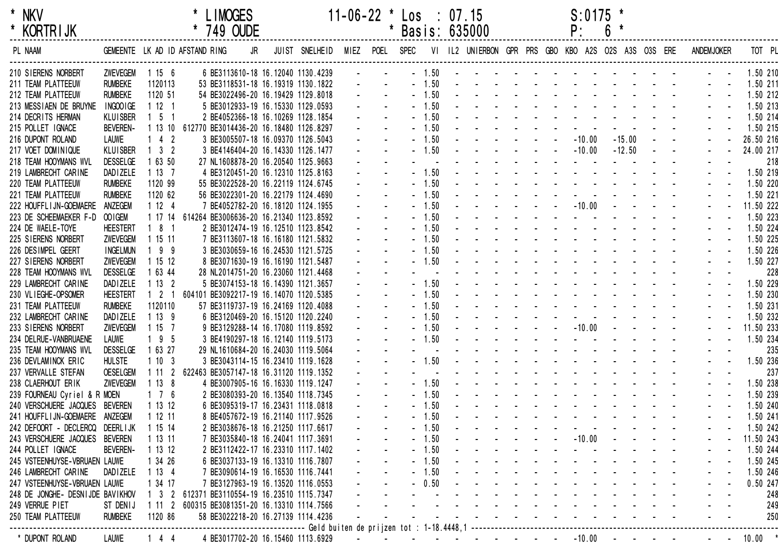| <b>KORTRIJK</b> |  |
|-----------------|--|

| <b>KORIRIJK</b>                  |                 |                                | 749 OUDE                                       |    |                                                      |                |         | Basis: 635000 |  | Ρ.                                                                                                                                                                                                                             | O |          |            |               |                   |           |          |
|----------------------------------|-----------------|--------------------------------|------------------------------------------------|----|------------------------------------------------------|----------------|---------|---------------|--|--------------------------------------------------------------------------------------------------------------------------------------------------------------------------------------------------------------------------------|---|----------|------------|---------------|-------------------|-----------|----------|
| PL NAAM                          |                 | GEMEENTE LK AD ID AFSTAND RING |                                                | JR | JUIST SNELHEID                                       | MIEZ POEL SPEC |         |               |  | VI IL2 UNIERBON GPR PRS GBO KBO A2S O2S A3S O3S ERE                                                                                                                                                                            |   |          |            |               | <b>ANDEMJOKER</b> |           | TOT PL   |
| 210 SIERENS NORBERT              | <b>ZWEVEGEM</b> | 1156                           | 6 BE3113610-18 16.12040 1130.4239              |    |                                                      |                | $-1.50$ |               |  | and a straightful and a straight and                                                                                                                                                                                           |   |          |            |               |                   |           | 1.50 210 |
| 211 TEAM PLATTEEUW               | <b>RUMBEKE</b>  | 1120113                        | 53 BE3118531-18 16.19319 1130.1822             |    |                                                      |                | $-1.50$ |               |  | and a series of the series of the series                                                                                                                                                                                       |   |          |            |               |                   |           | 1.50 211 |
| 212 TEAM PLATTEEUW               | <b>RUMBEKE</b>  | 1120 51                        | 54 BE3022496-20 16.19429 1129.8018             |    |                                                      |                | $-1.50$ |               |  | and a straightful and a straight and                                                                                                                                                                                           |   |          |            |               |                   |           | 1.50 212 |
| 213 MESSIAEN DE BRUYNE           | INGOOIGE        | 1121                           | 5 BE3012933-19 16.15330 1129.0593              |    |                                                      |                | $-1.50$ |               |  | the contract of the contract of the contract of                                                                                                                                                                                |   |          |            |               |                   |           | 1.50 213 |
| 214 DECRITS HERMAN               | KLUISBER        | $1\quad 5\quad 1$              | 2 BE4052366-18 16.10269 1128.1854              |    |                                                      |                | $-1.50$ |               |  | and a state of the state of the state of the state of the state of the state of the state of the state of the                                                                                                                  |   |          |            |               |                   |           | 1.50 214 |
| 215 POLLET IGNACE                | <b>BEVEREN-</b> | 1 13 10                        | 612770 BE3014436-20 16.18480 1126.8297         |    |                                                      |                | $-1.50$ |               |  |                                                                                                                                                                                                                                |   |          |            |               |                   |           | 1.50 215 |
| 216 DUPONT ROLAND                | <b>LAUWE</b>    | $142$                          | 3 BE3005507-18 16.09370 1126.5043              |    |                                                      |                | $-1.50$ |               |  | $-10.00$                                                                                                                                                                                                                       |   | $-15.00$ | $\sim 100$ | $\sim$ $\sim$ |                   | 26.50 216 |          |
| 217 VOET DOMINIQUE               | <b>KLUISBER</b> | $1 \quad 3 \quad 2$            | 3 BE4146404-20 16.14330 1126.1477              |    |                                                      |                | $-1.50$ |               |  | $-10.00$                                                                                                                                                                                                                       |   | $-12.50$ | $\sim$     |               |                   | 24.00 217 |          |
| 218 TEAM HOOYMANS WVL            | <b>DESSELGE</b> | 1 63 50                        | 27 NL1608878-20 16.20540 1125.9663             |    |                                                      |                |         |               |  |                                                                                                                                                                                                                                |   |          |            |               |                   |           | 218      |
| 219 LAMBRECHT CARINE             | DAD I ZELE      | 1137                           | 4 BE3120451-20 16.12310 1125.8163              |    |                                                      |                | $-1.50$ |               |  | the contract of the contract of the                                                                                                                                                                                            |   |          |            |               |                   |           | 1.50 219 |
| 220 TEAM PLATTEEUW               | <b>RUMBEKE</b>  | 1120 99                        | 55 BE3022528-20 16.22119 1124.6745             |    |                                                      |                | $-1.50$ |               |  | and a series of the series of                                                                                                                                                                                                  |   |          |            |               |                   |           | 1.50 220 |
| 221 TEAM PLATTEEUW               | <b>RUMBEKE</b>  | 1120 62                        | 56 BE3022301-20 16.22179 1124.4690             |    |                                                      |                | $-1.50$ |               |  |                                                                                                                                                                                                                                |   |          |            |               |                   |           | 1.50 221 |
| 222 HOUFFL I JN-GOEMAERE         | ANZEGEM         | 1124                           | 7 BE4052782-20 16.18120 1124.1955              |    |                                                      |                | $-1.50$ |               |  | $    -$ 10.00                                                                                                                                                                                                                  |   |          |            |               |                   | 11.50 222 |          |
| 223 DE SCHEEMAEKER F-D OOIGEM    |                 |                                | 1 17 14 614264 BE3006636-20 16.21340 1123.8592 |    |                                                      |                | $-1.50$ |               |  | and a strain and a strain and                                                                                                                                                                                                  |   |          |            |               |                   |           | 1.50 223 |
| 224 DE WAELE-TOYE                | <b>HEESTERT</b> | $181$                          | 2 BE3012474-19 16.12510 1123.8542              |    |                                                      |                | $-1.50$ |               |  | design and a state of the state of                                                                                                                                                                                             |   |          |            |               |                   |           | 1.50 224 |
| 225 SIERENS NORBERT              | <b>ZWEVEGEM</b> | 1 15 11                        | 7 BE3113607-18 16.16180 1121.5832              |    |                                                      |                | $-1.50$ |               |  | and a series of the series of the                                                                                                                                                                                              |   |          |            |               |                   |           | 1.50 225 |
| 226 DESIMPEL GEERT               | <b>INGELMUN</b> | $199$                          | 3 BE3030659-16 16.24530 1121.5725              |    |                                                      |                | $-1.50$ |               |  | and a series of the series of the series                                                                                                                                                                                       |   |          |            |               |                   |           | 1.50 226 |
| 227 SIERENS NORBERT              | <b>ZWEVEGEM</b> | 1 15 12                        | 8 BE3071630-19 16.16190 1121.5487              |    |                                                      |                | $-1.50$ |               |  | and a strain and a strain and a                                                                                                                                                                                                |   |          |            |               |                   |           | 1.50 227 |
| 228 TEAM HOOYMANS WVL            | <b>DESSELGE</b> | 1 63 44                        | 28 NL2014751-20 16.23060 1121.4468             |    |                                                      |                |         |               |  | and a series of the series of                                                                                                                                                                                                  |   |          |            |               |                   |           | 228      |
| 229 LAMBRECHT CARINE             | DAD I ZELE      | 1132                           | 5 BE3074153-18 16.14390 1121.3657              |    |                                                      |                | $-1.50$ |               |  | and a series of the series of the                                                                                                                                                                                              |   |          |            |               |                   |           | 1.50 229 |
| 230 VLIEGHE-OPSOMER              | <b>HEESTERT</b> | $1 \quad 2 \quad 1$            | 604101 BE3092217-19 16.14070 1120.5385         |    |                                                      |                | $-1.50$ |               |  | the second contract of the second contract of the second second contract of the second second second second second second second second second second second second second second second second second second second second se |   |          |            |               |                   |           | 1.50 230 |
| 231 TEAM PLATTEEUW               | <b>RUMBEKE</b>  | 1120110                        | 57 BE3119737-19 16.24169 1120.4088             |    |                                                      |                | $-1.50$ |               |  | the second contract of the second contract of                                                                                                                                                                                  |   |          |            |               |                   |           | 1.50 231 |
| 232 LAMBRECHT CARINE             | DAD I ZELE      | 1139                           | 6 BE3120469-20 16.15120 1120.2240              |    |                                                      |                | $-1.50$ |               |  |                                                                                                                                                                                                                                |   |          |            |               |                   |           | 1.50 232 |
| 233 SIERENS NORBERT              | <b>ZWEVEGEM</b> | 1157                           | 9 BE3129288-14 16.17080 1119.8592              |    |                                                      |                | $-1.50$ |               |  | $   -10.00$                                                                                                                                                                                                                    |   |          |            |               |                   | 11.50 233 |          |
| 234 DELRUE-VANBRUAENE            | <b>LAUWE</b>    | $195$                          | 3 BE4190297-18 16.12140 1119.5173              |    |                                                      |                | $-1.50$ |               |  | and a strong control of the strong strong                                                                                                                                                                                      |   |          |            |               |                   |           | 1.50 234 |
| 235 TEAM HOOYMANS WVL            | <b>DESSELGE</b> | 1 63 27                        | 29 NL1610684-20 16.24030 1119.5064             |    |                                                      |                |         |               |  | and a straight and a straight and                                                                                                                                                                                              |   |          |            |               |                   |           | 235      |
| 236 DEVLAMINCK ERIC              | <b>HULSTE</b>   | 1103                           | 3 BE3043114-15 16.23410 1119.1628              |    |                                                      |                | $-1.50$ |               |  | and a series of the series of                                                                                                                                                                                                  |   |          |            |               |                   |           | 1.50 236 |
| 237 VERVALLE STEFAN              | <b>OESELGEM</b> | 1112                           | 622463 BE3057147-18 16.31120 1119.1352         |    |                                                      |                |         |               |  | the contract of the contract of the con-                                                                                                                                                                                       |   |          |            |               |                   |           | 237      |
| 238 CLAERHOUT ERIK               | <b>ZWEVEGEM</b> | 1138                           | 4 BE3007905-16 16.16330 1119.1247              |    |                                                      |                | $-1.50$ |               |  | the contract of the contract of the contract of                                                                                                                                                                                |   |          |            |               |                   |           | 1.50 238 |
| 239 FOURNEAU Cyriel & R MOEN     |                 | $1 \quad 7 \quad 6$            | 2 BE3080393-20 16.13540 1118.7345              |    |                                                      |                | $-1.50$ |               |  | the contract of the contract of the contract of                                                                                                                                                                                |   |          |            |               |                   |           | 1.50 239 |
| 240 VERSCHUERE JACQUES           | <b>BEVEREN</b>  | 1 13 12                        | 6 BE3095319-17 16.23431 1118.0818              |    |                                                      |                | $-1.50$ |               |  | the contract of the contract of the contract of the contract of the contract of the contract of the contract of the contract of the contract of the contract of the contract of the contract of the contract of the contract o |   |          |            |               |                   |           | 1.50 240 |
| 241 HOUFFLIJN-GOEMAERE           | ANZEGEM         | 1 12 11                        | 8 BE4057672-19 16.21140 1117.9526              |    |                                                      |                | 1.50    |               |  | and a strong control of the state of                                                                                                                                                                                           |   |          |            |               |                   |           | 1.50 241 |
| 242 DEFOORT - DECLERCQ           | DEERL I JK      | 1 15 14                        | 2 BE3038676-18 16.21250 1117.6617              |    |                                                      |                | 1.50    |               |  |                                                                                                                                                                                                                                |   |          |            |               |                   |           | 1.50 242 |
| 243 VERSCHUERE JACQUES           | <b>BEVEREN</b>  | 1 13 11                        | 7 BE3035840-18 16.24041 1117.3691              |    |                                                      |                | $-1.50$ |               |  | $-10.00$                                                                                                                                                                                                                       |   |          |            |               |                   | 11.50 243 |          |
| 244 POLLET IGNACE                | <b>BEVEREN-</b> | 1 13 12                        | 2 BE3112422-17 16.23310 1117.1402              |    |                                                      |                | 1.50    |               |  |                                                                                                                                                                                                                                |   |          |            |               |                   |           | 1.50 244 |
| 245 VSTEENHUYSE-VBRUAEN LAUWE    |                 | 1 34 26                        | 6 BE3037133-19 16.13310 1116.7807              |    |                                                      |                | 1.50    |               |  |                                                                                                                                                                                                                                |   |          |            |               |                   |           | 1.50 245 |
| 246 LAMBRECHT CARINE             | <b>DADIZELE</b> | 1134                           | 7 BE3090614-19 16.16530 1116.7441              |    |                                                      |                | 1.50    |               |  |                                                                                                                                                                                                                                |   |          |            |               |                   |           | 1.50 246 |
| 247 VSTEENHUYSE-VBRUAEN LAUWE    |                 | 1 34 17                        | 7 BE3127963-19 16.13520 1116.0553              |    |                                                      |                | 0.50    |               |  |                                                                                                                                                                                                                                |   |          |            |               |                   |           | 0.50 247 |
| 248 DE JONGHE- DESNIJDE BAVIKHOV |                 | 1 3<br>2                       | 612371 BE3110554-19 16.23510 1115.7347         |    |                                                      |                |         |               |  |                                                                                                                                                                                                                                |   |          |            |               |                   |           | 248      |
| 249 VERRUE PIET                  | ST DENIJ        | 1112                           | 600315 BE3081351-20 16.13310 1114.7566         |    |                                                      |                |         |               |  |                                                                                                                                                                                                                                |   |          |            |               |                   |           | 249      |
| 250 TEAM PLATTEEUW               | <b>RUMBEKE</b>  | 1120 86                        | 58 BE3022218-20 16.27139 1114.4236             |    |                                                      |                |         |               |  |                                                                                                                                                                                                                                |   |          |            |               |                   |           | 250      |
|                                  |                 |                                |                                                |    | ----------- Geld buiten de prijzen tot : 1-18.4448,1 |                |         |               |  |                                                                                                                                                                                                                                |   |          |            |               |                   |           |          |
| * DUPONT ROLAND                  | <b>LAUWE</b>    | $144$                          | 4 BE3017702-20 16.15460 1113.6929              |    |                                                      |                |         |               |  | $-10.00$                                                                                                                                                                                                                       |   |          |            |               |                   | 10.00     |          |
|                                  |                 |                                |                                                |    |                                                      |                |         |               |  |                                                                                                                                                                                                                                |   |          |            |               |                   |           |          |